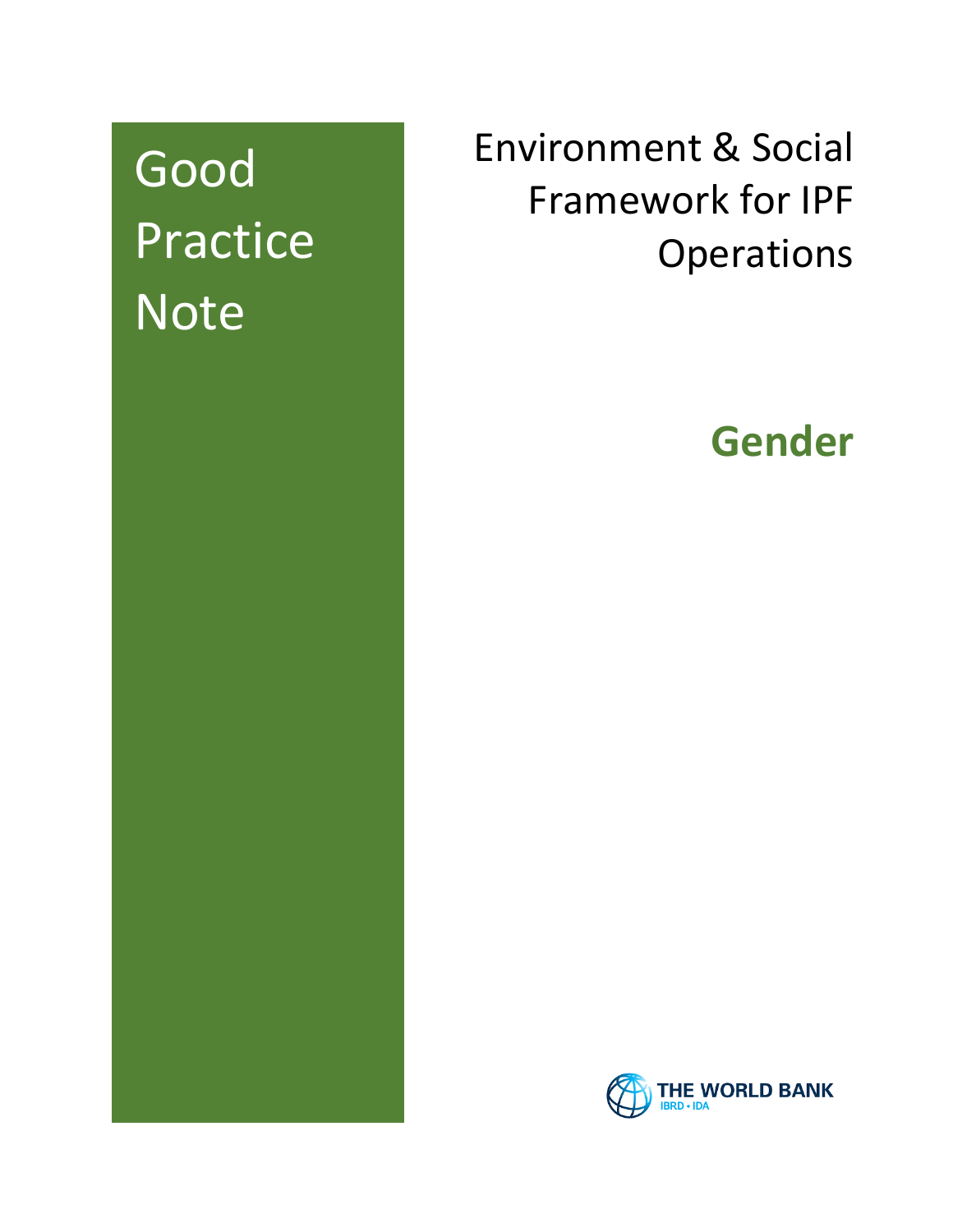# Good **Practice Note**

## Environment & Social Framework for IPF **Operations**

## **Gender**

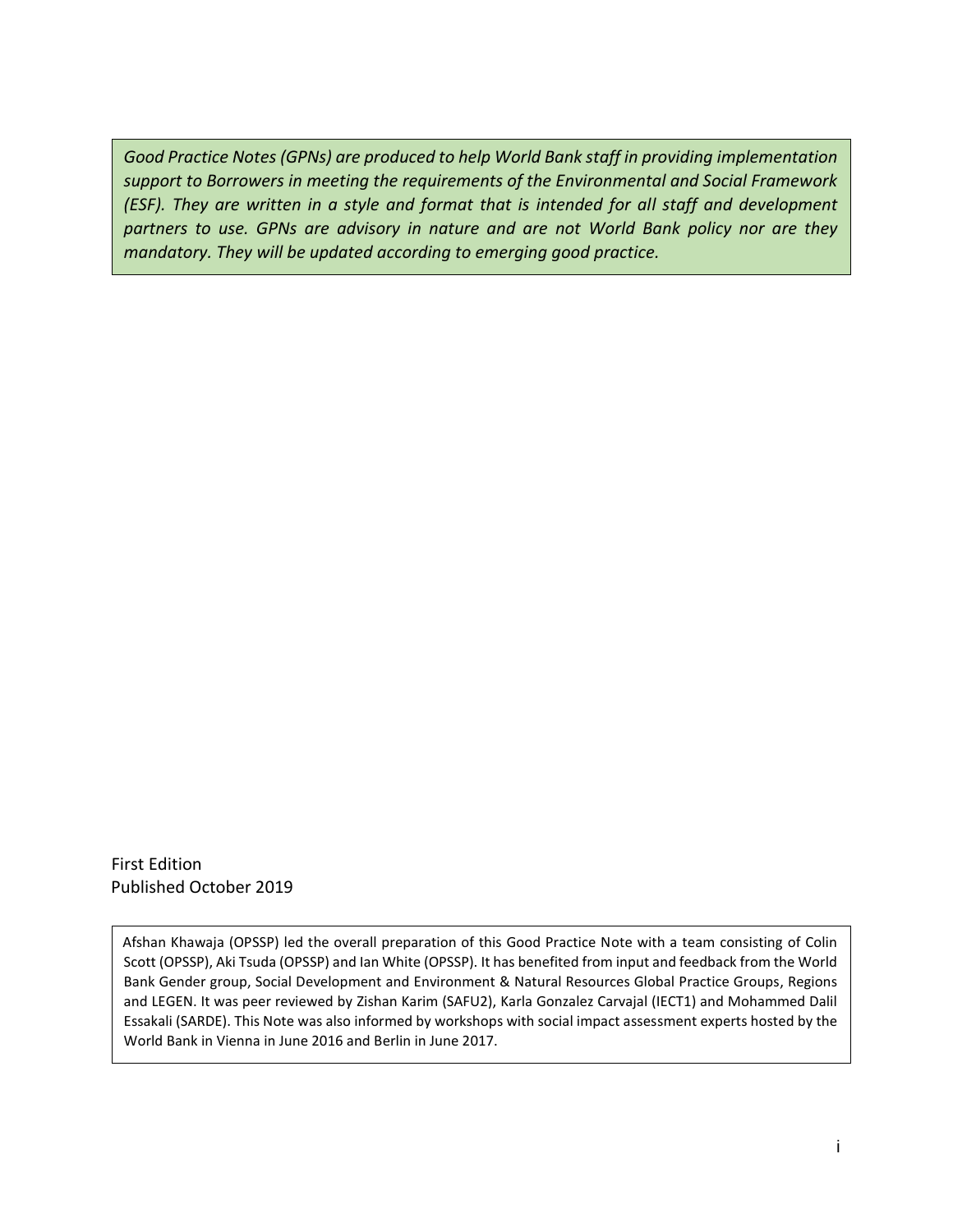*Good Practice Notes (GPNs) are produced to help World Bank staff in providing implementation support to Borrowers in meeting the requirements of the Environmental and Social Framework (ESF). They are written in a style and format that is intended for all staff and development partners to use. GPNs are advisory in nature and are not World Bank policy nor are they mandatory. They will be updated according to emerging good practice.*

First Edition Published October 2019

Afshan Khawaja (OPSSP) led the overall preparation of this Good Practice Note with a team consisting of Colin Scott (OPSSP), Aki Tsuda (OPSSP) and Ian White (OPSSP). It has benefited from input and feedback from the World Bank Gender group, Social Development and Environment & Natural Resources Global Practice Groups, Regions and LEGEN. It was peer reviewed by Zishan Karim (SAFU2), Karla Gonzalez Carvajal (IECT1) and Mohammed Dalil Essakali (SARDE). This Note was also informed by workshops with social impact assessment experts hosted by the World Bank in Vienna in June 2016 and Berlin in June 2017.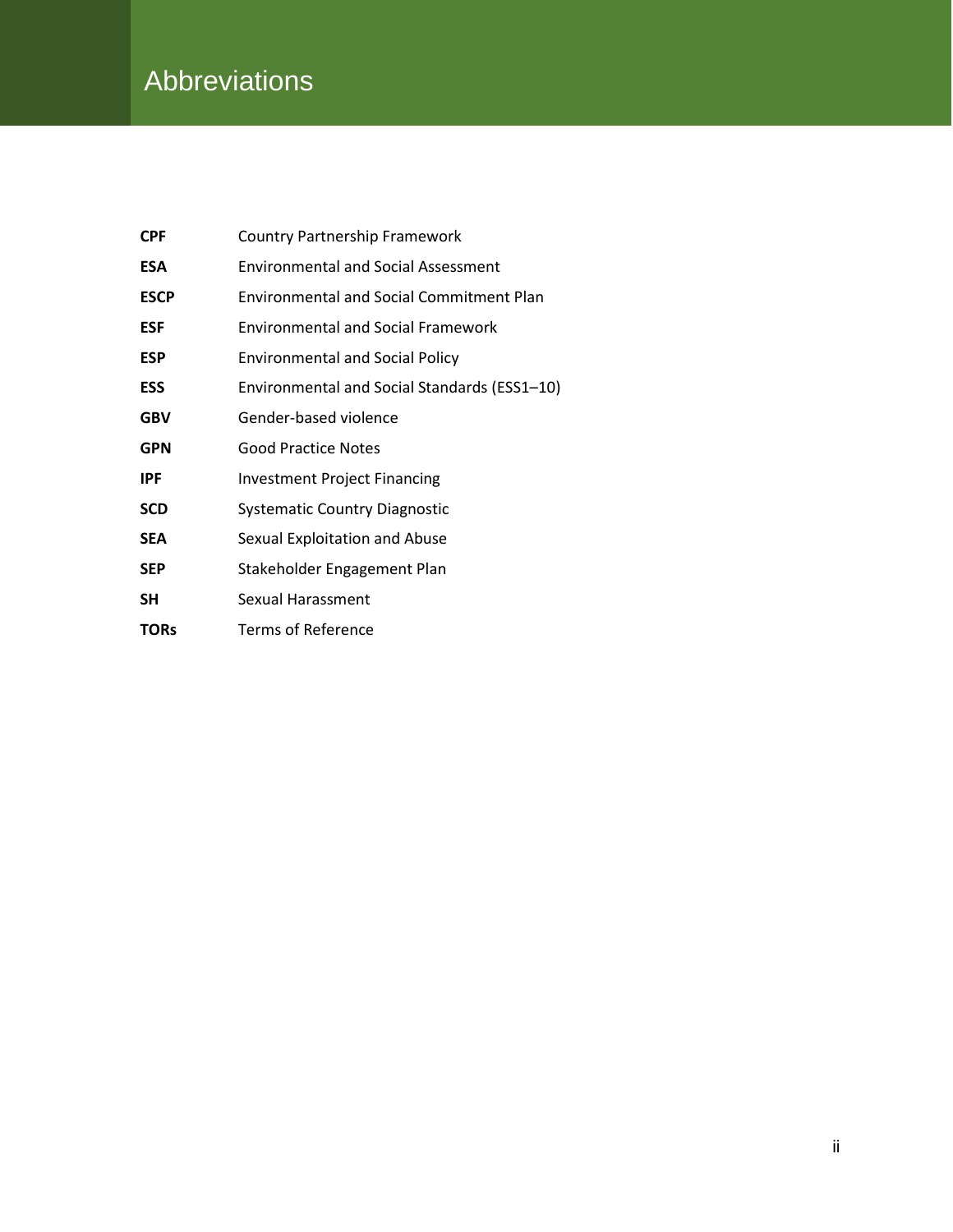### **Abbreviations**

| <b>CPF</b>  | <b>Country Partnership Framework</b>            |
|-------------|-------------------------------------------------|
| <b>ESA</b>  | <b>Environmental and Social Assessment</b>      |
| <b>ESCP</b> | <b>Environmental and Social Commitment Plan</b> |
| <b>ESF</b>  | <b>Environmental and Social Framework</b>       |
| <b>ESP</b>  | <b>Environmental and Social Policy</b>          |
| <b>ESS</b>  | Environmental and Social Standards (ESS1-10)    |
| <b>GBV</b>  | Gender-based violence                           |
| <b>GPN</b>  | <b>Good Practice Notes</b>                      |
| <b>IPF</b>  | <b>Investment Project Financing</b>             |
| <b>SCD</b>  | <b>Systematic Country Diagnostic</b>            |
| <b>SEA</b>  | Sexual Exploitation and Abuse                   |
| <b>SEP</b>  | Stakeholder Engagement Plan                     |
| SΗ          | Sexual Harassment                               |
| <b>TORs</b> | <b>Terms of Reference</b>                       |
|             |                                                 |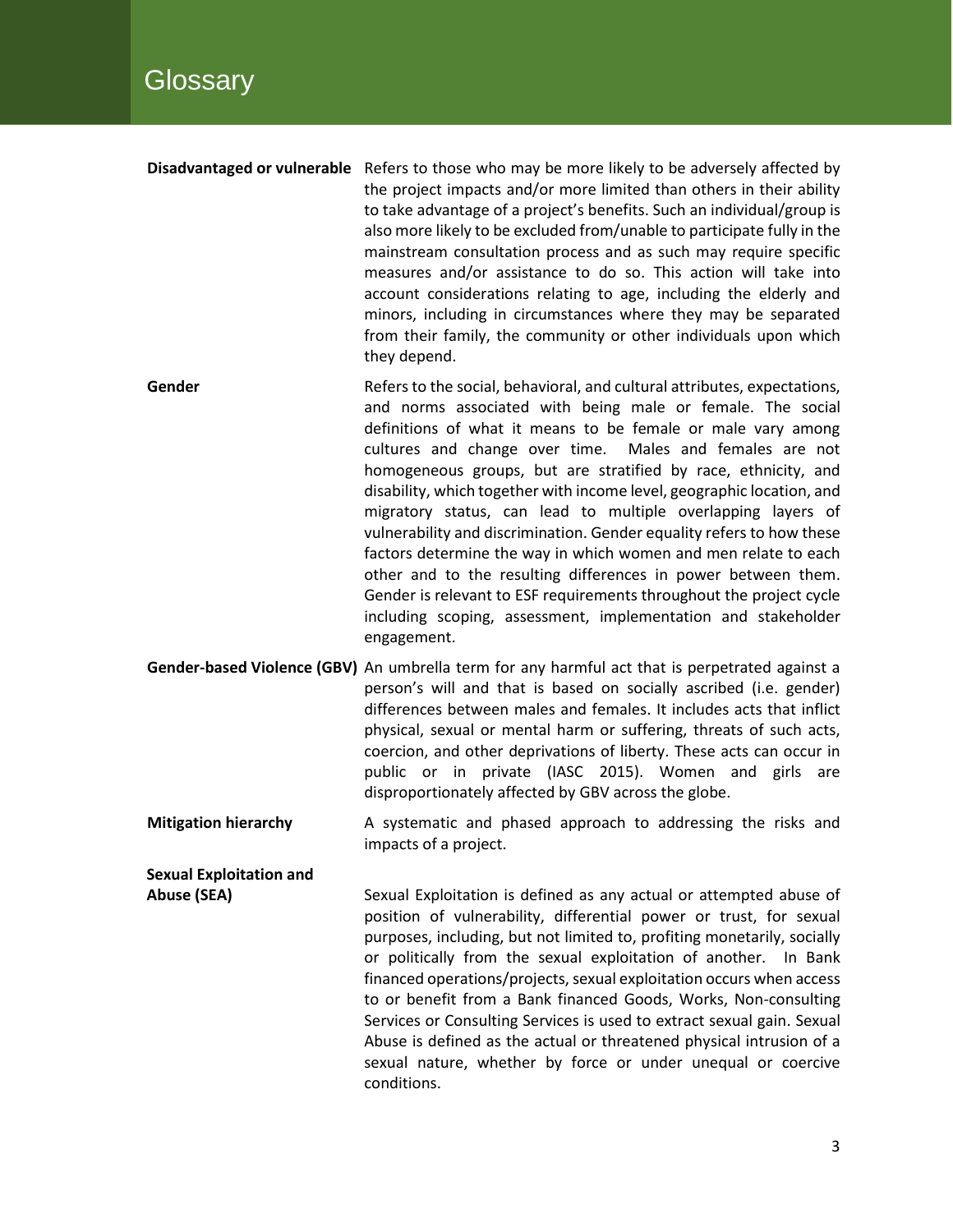- **Disadvantaged or vulnerable** Refers to those who may be more likely to be adversely affected by the project impacts and/or more limited than others in their ability to take advantage of a project's benefits. Such an individual/group is also more likely to be excluded from/unable to participate fully in the mainstream consultation process and as such may require specific measures and/or assistance to do so. This action will take into account considerations relating to age, including the elderly and minors, including in circumstances where they may be separated from their family, the community or other individuals upon which they depend.
- **Gender** Refers to the social, behavioral, and cultural attributes, expectations, and norms associated with being male or female. The social definitions of what it means to be female or male vary among cultures and change over time. Males and females are not homogeneous groups, but are stratified by race, ethnicity, and disability, which together with income level, geographic location, and migratory status, can lead to multiple overlapping layers of vulnerability and discrimination. Gender equality refers to how these factors determine the way in which women and men relate to each other and to the resulting differences in power between them. Gender is relevant to ESF requirements throughout the project cycle including scoping, assessment, implementation and stakeholder engagement.
- **Gender-based Violence (GBV)** An umbrella term for any harmful act that is perpetrated against a person's will and that is based on socially ascribed (i.e. gender) differences between males and females. It includes acts that inflict physical, sexual or mental harm or suffering, threats of such acts, coercion, and other deprivations of liberty. These acts can occur in public or in private (IASC 2015). Women and girls are disproportionately affected by GBV across the globe.
- **Mitigation hierarchy** A systematic and phased approach to addressing the risks and impacts of a project.

**Sexual Exploitation and**

**Abuse (SEA)** Sexual Exploitation is defined as any actual or attempted abuse of position of vulnerability, differential power or trust, for sexual purposes, including, but not limited to, profiting monetarily, socially or politically from the sexual exploitation of another. In Bank financed operations/projects, sexual exploitation occurs when access to or benefit from a Bank financed Goods, Works, Non-consulting Services or Consulting Services is used to extract sexual gain. Sexual Abuse is defined as the actual or threatened physical intrusion of a sexual nature, whether by force or under unequal or coercive conditions.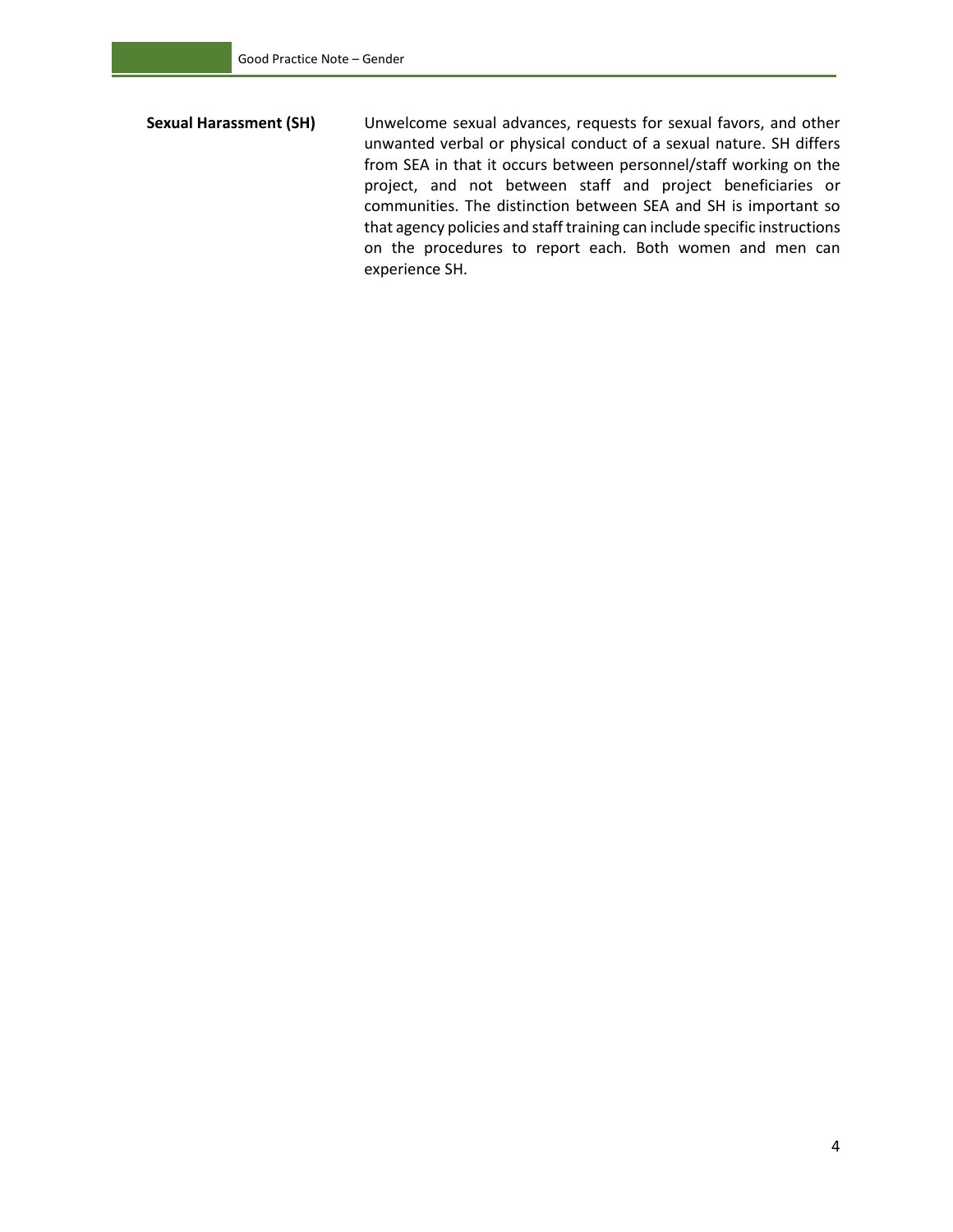**Sexual Harassment (SH)** Unwelcome sexual advances, requests for sexual favors, and other unwanted verbal or physical conduct of a sexual nature. SH differs from SEA in that it occurs between personnel/staff working on the project, and not between staff and project beneficiaries or communities. The distinction between SEA and SH is important so that agency policies and staff training can include specific instructions on the procedures to report each. Both women and men can experience SH.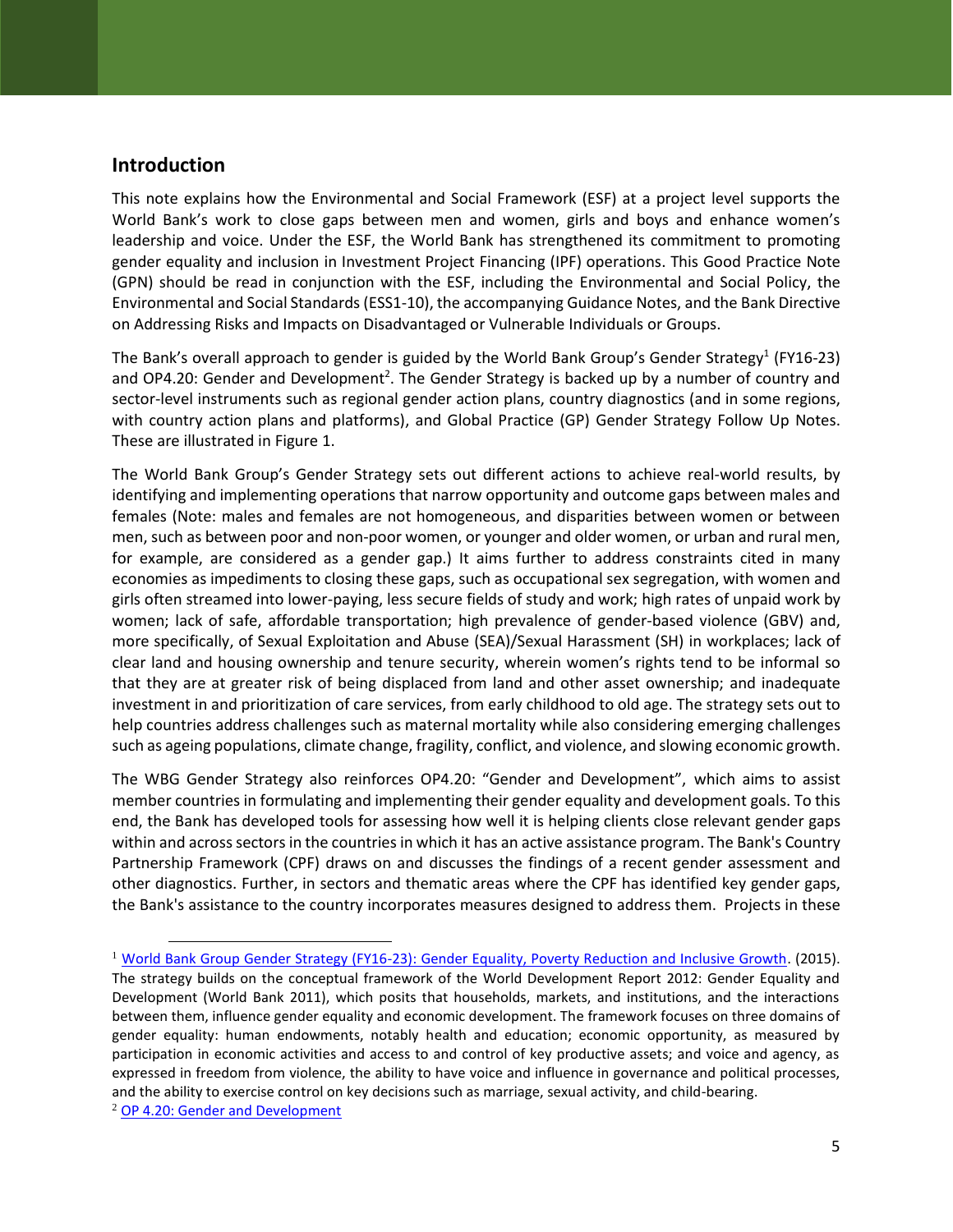#### **Introduction**

This note explains how the Environmental and Social Framework (ESF) at a project level supports the World Bank's work to close gaps between men and women, girls and boys and enhance women's leadership and voice. Under the ESF, the World Bank has strengthened its commitment to promoting gender equality and inclusion in Investment Project Financing (IPF) operations. This Good Practice Note (GPN) should be read in conjunction with the ESF, including the Environmental and Social Policy, the Environmental and Social Standards (ESS1-10), the accompanying Guidance Notes, and the Bank Directive on Addressing Risks and Impacts on Disadvantaged or Vulnerable Individuals or Groups.

The Bank's overall approach to gender is guided by the World Bank Group's Gender Strategy<sup>1</sup> (FY16-23) and OP4.20: Gender and Development<sup>2</sup>. The Gender Strategy is backed up by a number of country and sector-level instruments such as regional gender action plans, country diagnostics (and in some regions, with country action plans and platforms), and Global Practice (GP) Gender Strategy Follow Up Notes. These are illustrated in Figure 1.

The World Bank Group's Gender Strategy sets out different actions to achieve real-world results, by identifying and implementing operations that narrow opportunity and outcome gaps between males and females (Note: males and females are not homogeneous, and disparities between women or between men, such as between poor and non-poor women, or younger and older women, or urban and rural men, for example, are considered as a gender gap.) It aims further to address constraints cited in many economies as impediments to closing these gaps, such as occupational sex segregation, with women and girls often streamed into lower-paying, less secure fields of study and work; high rates of unpaid work by women; lack of safe, affordable transportation; high prevalence of gender-based violence (GBV) and, more specifically, of Sexual Exploitation and Abuse (SEA)/Sexual Harassment (SH) in workplaces; lack of clear land and housing ownership and tenure security, wherein women's rights tend to be informal so that they are at greater risk of being displaced from land and other asset ownership; and inadequate investment in and prioritization of care services, from early childhood to old age. The strategy sets out to help countries address challenges such as maternal mortality while also considering emerging challenges such as ageing populations, climate change, fragility, conflict, and violence, and slowing economic growth.

The WBG Gender Strategy also reinforces OP4.20: "Gender and Development", which aims to assist member countries in formulating and implementing their gender equality and development goals. To this end, the Bank has developed tools for assessing how well it is helping clients close relevant gender gaps within and across sectors in the countries in which it has an active assistance program. The Bank's Country Partnership Framework (CPF) draws on and discusses the findings of a recent gender assessment and other diagnostics. Further, in sectors and thematic areas where the CPF has identified key gender gaps, the Bank's assistance to the country incorporates measures designed to address them. Projects in these

<sup>&</sup>lt;sup>1</sup> [World Bank Group Gender Strategy \(FY16-23\): Gender Equality, Poverty Reduction and Inclusive Growth.](https://openknowledge.worldbank.org/handle/10986/23425) (2015). The strategy builds on the conceptual framework of the World Development Report 2012: Gender Equality and Development (World Bank 2011), which posits that households, markets, and institutions, and the interactions between them, influence gender equality and economic development. The framework focuses on three domains of gender equality: human endowments, notably health and education; economic opportunity, as measured by participation in economic activities and access to and control of key productive assets; and voice and agency, as expressed in freedom from violence, the ability to have voice and influence in governance and political processes, and the ability to exercise control on key decisions such as marriage, sexual activity, and child-bearing.

<sup>&</sup>lt;sup>2</sup> OP [4.20:](https://policies.worldbank.org/sites/ppf3/PPFDocuments/Forms/DispPage.aspx?docid=3523&ver=current) Gender and Development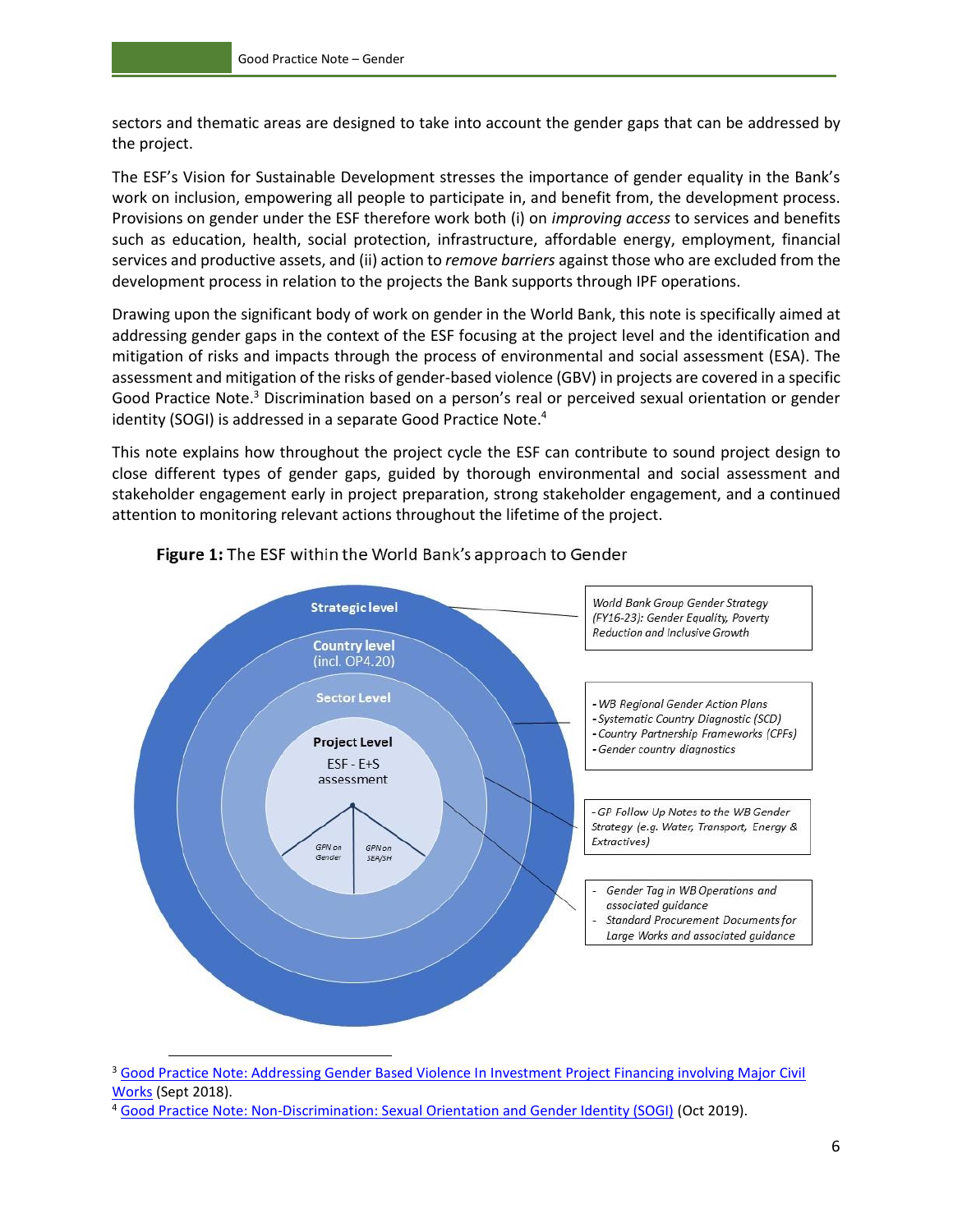sectors and thematic areas are designed to take into account the gender gaps that can be addressed by the project.

The ESF's Vision for Sustainable Development stresses the importance of gender equality in the Bank's work on inclusion, empowering all people to participate in, and benefit from, the development process. Provisions on gender under the ESF therefore work both (i) on *improving access* to services and benefits such as education, health, social protection, infrastructure, affordable energy, employment, financial services and productive assets, and (ii) action to *remove barriers* against those who are excluded from the development process in relation to the projects the Bank supports through IPF operations.

Drawing upon the significant body of work on gender in the World Bank, this note is specifically aimed at addressing gender gaps in the context of the ESF focusing at the project level and the identification and mitigation of risks and impacts through the process of environmental and social assessment (ESA). The assessment and mitigation of the risks of gender-based violence (GBV) in projects are covered in a specific Good Practice Note.<sup>3</sup> Discrimination based on a person's real or perceived sexual orientation or gender identity (SOGI) is addressed in a separate Good Practice Note.<sup>4</sup>

This note explains how throughout the project cycle the ESF can contribute to sound project design to close different types of gender gaps, guided by thorough environmental and social assessment and stakeholder engagement early in project preparation, strong stakeholder engagement, and a continued attention to monitoring relevant actions throughout the lifetime of the project.



#### Figure 1: The ESF within the World Bank's approach to Gender

<sup>3</sup> [Good Practice Note: Addressing Gender Based Violence In Investment Project Financing involving Major Civil](http://documents.worldbank.org/curated/en/399881538336159607/Environment-and-Social-Framework-ESF-Good-Practice-Note-on-Gender-based-Violence-English.pdf)  [Works](http://documents.worldbank.org/curated/en/399881538336159607/Environment-and-Social-Framework-ESF-Good-Practice-Note-on-Gender-based-Violence-English.pdf) (Sept 2018).

<sup>4</sup> [Good Practice Note: Non-Discrimination: Sexual Orientation and Gender Identity \(SOGI\)](http://pubdocs.worldbank.org/en/590671570796800429/Good-Practice-Note-SOGI.pdf) (Oct 2019).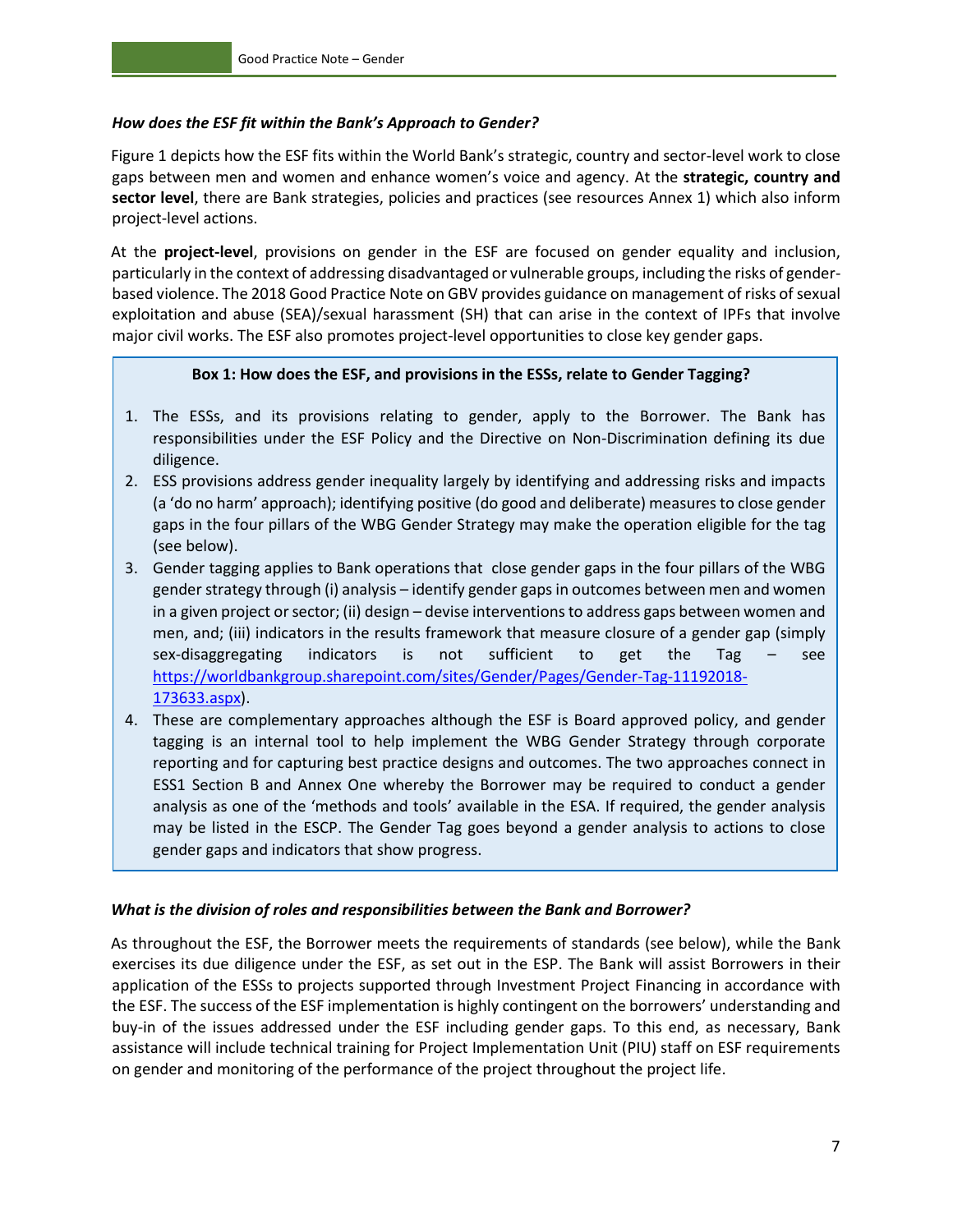#### *How does the ESF fit within the Bank's Approach to Gender?*

Figure 1 depicts how the ESF fits within the World Bank's strategic, country and sector-level work to close gaps between men and women and enhance women's voice and agency. At the **strategic, country and sector level**, there are Bank strategies, policies and practices (see resources Annex 1) which also inform project-level actions.

At the **project-level**, provisions on gender in the ESF are focused on gender equality and inclusion, particularly in the context of addressing disadvantaged or vulnerable groups, including the risks of genderbased violence. The 2018 Good Practice Note on GBV provides guidance on management of risks of sexual exploitation and abuse (SEA)/sexual harassment (SH) that can arise in the context of IPFs that involve major civil works. The ESF also promotes project-level opportunities to close key gender gaps.

#### **Box 1: How does the ESF, and provisions in the ESSs, relate to Gender Tagging?**

- 1. The ESSs, and its provisions relating to gender, apply to the Borrower. The Bank has responsibilities under the ESF Policy and the Directive on Non-Discrimination defining its due diligence.
- 2. ESS provisions address gender inequality largely by identifying and addressing risks and impacts (a 'do no harm' approach); identifying positive (do good and deliberate) measures to close gender gaps in the four pillars of the WBG Gender Strategy may make the operation eligible for the tag (see below).
- 3. Gender tagging applies to Bank operations that close gender gaps in the four pillars of the WBG gender strategy through (i) analysis – identify gender gaps in outcomes between men and women in a given project or sector; (ii) design – devise interventions to address gaps between women and men, and; (iii) indicators in the results framework that measure closure of a gender gap (simply sex-disaggregating indicators is not sufficient to get the Tag – see [https://worldbankgroup.sharepoint.com/sites/Gender/Pages/Gender-Tag-11192018-](https://worldbankgroup.sharepoint.com/sites/Gender/Pages/Gender-Tag-11192018-173633.aspx) [173633.aspx\)](https://worldbankgroup.sharepoint.com/sites/Gender/Pages/Gender-Tag-11192018-173633.aspx).
- 4. These are complementary approaches although the ESF is Board approved policy, and gender tagging is an internal tool to help implement the WBG Gender Strategy through corporate reporting and for capturing best practice designs and outcomes. The two approaches connect in ESS1 Section B and Annex One whereby the Borrower may be required to conduct a gender analysis as one of the 'methods and tools' available in the ESA. If required, the gender analysis may be listed in the ESCP. The Gender Tag goes beyond a gender analysis to actions to close gender gaps and indicators that show progress.

#### *What is the division of roles and responsibilities between the Bank and Borrower?*

As throughout the ESF, the Borrower meets the requirements of standards (see below), while the Bank exercises its due diligence under the ESF, as set out in the ESP. The Bank will assist Borrowers in their application of the ESSs to projects supported through Investment Project Financing in accordance with the ESF. The success of the ESF implementation is highly contingent on the borrowers' understanding and buy-in of the issues addressed under the ESF including gender gaps. To this end, as necessary, Bank assistance will include technical training for Project Implementation Unit (PIU) staff on ESF requirements on gender and monitoring of the performance of the project throughout the project life.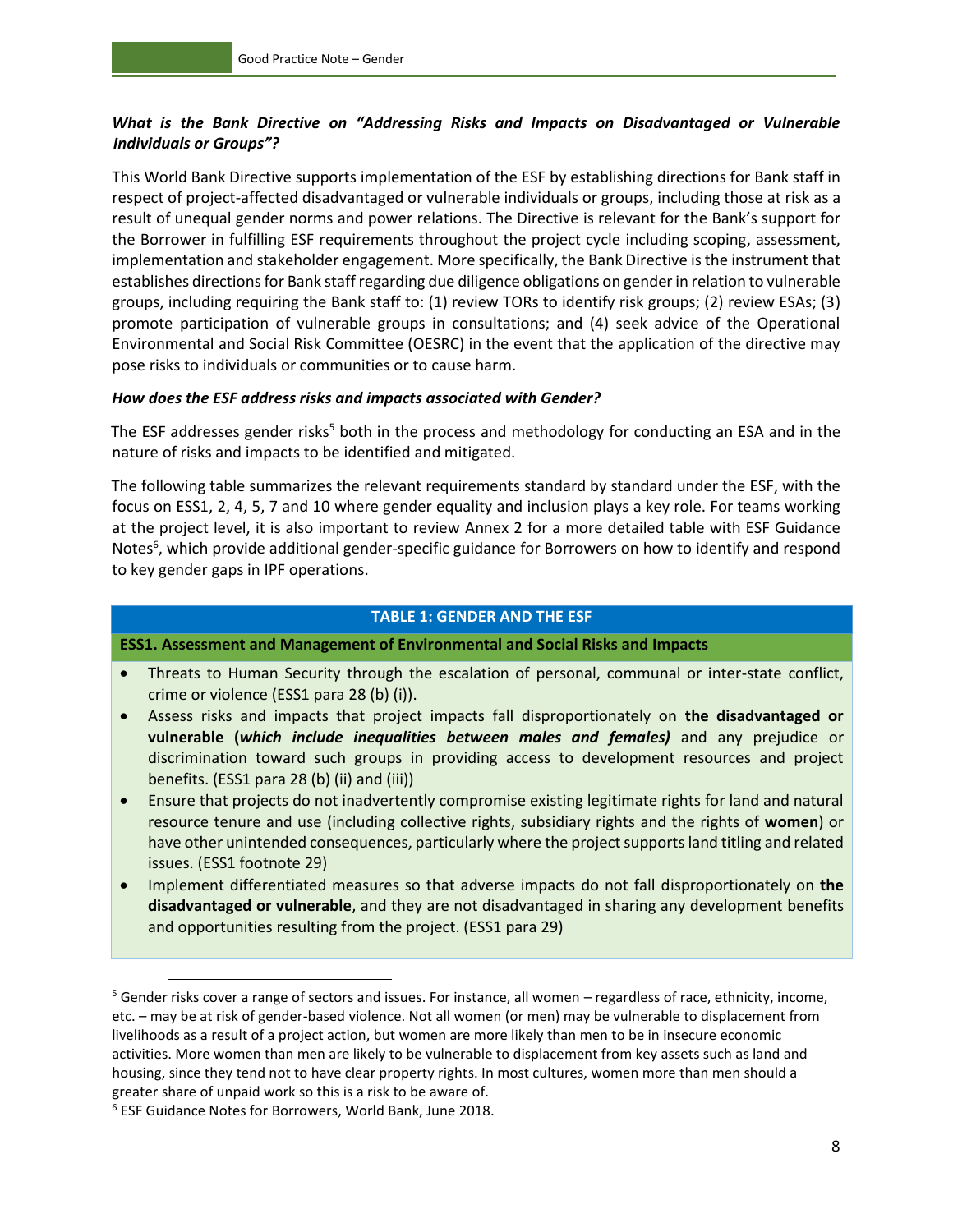#### *What is the Bank Directive on "Addressing Risks and Impacts on Disadvantaged or Vulnerable Individuals or Groups"?*

This World Bank Directive supports implementation of the ESF by establishing directions for Bank staff in respect of project-affected disadvantaged or vulnerable individuals or groups, including those at risk as a result of unequal gender norms and power relations. The Directive is relevant for the Bank's support for the Borrower in fulfilling ESF requirements throughout the project cycle including scoping, assessment, implementation and stakeholder engagement. More specifically, the Bank Directive is the instrument that establishes directions for Bank staff regarding due diligence obligations on gender in relation to vulnerable groups, including requiring the Bank staff to: (1) review TORs to identify risk groups; (2) review ESAs; (3) promote participation of vulnerable groups in consultations; and (4) seek advice of the Operational Environmental and Social Risk Committee (OESRC) in the event that the application of the directive may pose risks to individuals or communities or to cause harm.

#### *How does the ESF address risks and impacts associated with Gender?*

The ESF addresses gender risks<sup>5</sup> both in the process and methodology for conducting an ESA and in the nature of risks and impacts to be identified and mitigated.

The following table summarizes the relevant requirements standard by standard under the ESF, with the focus on ESS1, 2, 4, 5, 7 and 10 where gender equality and inclusion plays a key role. For teams working at the project level, it is also important to review Annex 2 for a more detailed table with ESF Guidance Notes<sup>6</sup>, which provide additional gender-specific guidance for Borrowers on how to identify and respond to key gender gaps in IPF operations.

#### **TABLE 1: GENDER AND THE ESF**

**ESS1. Assessment and Management of Environmental and Social Risks and Impacts**

- Threats to Human Security through the escalation of personal, communal or inter-state conflict, crime or violence (ESS1 para 28 (b) (i)).
- Assess risks and impacts that project impacts fall disproportionately on **the disadvantaged or vulnerable (***which include inequalities between males and females)* and any prejudice or discrimination toward such groups in providing access to development resources and project benefits. (ESS1 para 28 (b) (ii) and (iii))
- Ensure that projects do not inadvertently compromise existing legitimate rights for land and natural resource tenure and use (including collective rights, subsidiary rights and the rights of **women**) or have other unintended consequences, particularly where the project supports land titling and related issues. (ESS1 footnote 29)
- Implement differentiated measures so that adverse impacts do not fall disproportionately on **the disadvantaged or vulnerable**, and they are not disadvantaged in sharing any development benefits and opportunities resulting from the project. (ESS1 para 29)

<sup>5</sup> Gender risks cover a range of sectors and issues. For instance, all women – regardless of race, ethnicity, income, etc. – may be at risk of gender-based violence. Not all women (or men) may be vulnerable to displacement from livelihoods as a result of a project action, but women are more likely than men to be in insecure economic activities. More women than men are likely to be vulnerable to displacement from key assets such as land and housing, since they tend not to have clear property rights. In most cultures, women more than men should a greater share of unpaid work so this is a risk to be aware of.

<sup>6</sup> ESF Guidance Notes for Borrowers, World Bank, June 2018.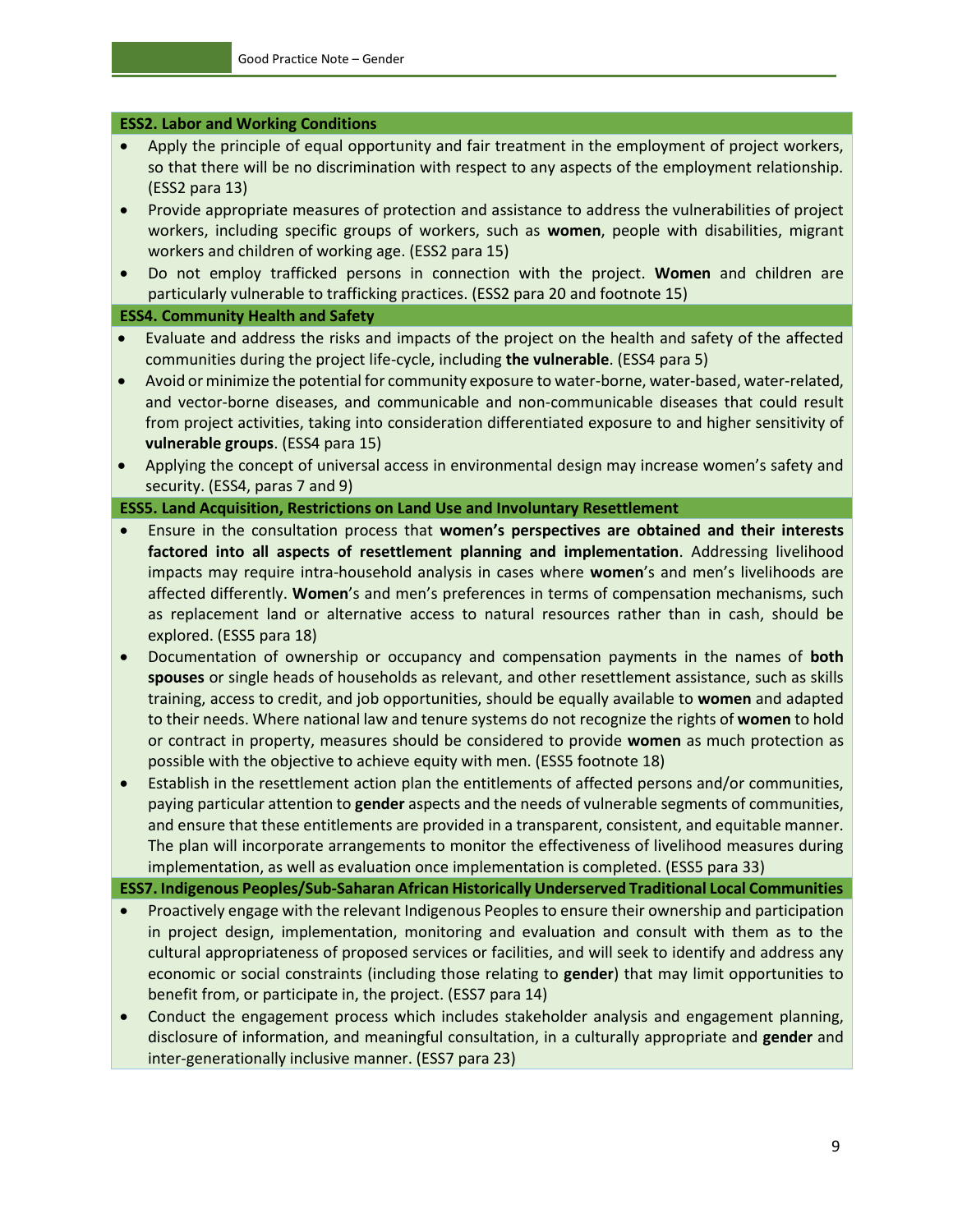#### **ESS2. Labor and Working Conditions**

- Apply the principle of equal opportunity and fair treatment in the employment of project workers, so that there will be no discrimination with respect to any aspects of the employment relationship. (ESS2 para 13)
- Provide appropriate measures of protection and assistance to address the vulnerabilities of project workers, including specific groups of workers, such as **women**, people with disabilities, migrant workers and children of working age. (ESS2 para 15)
- Do not employ trafficked persons in connection with the project. **Women** and children are particularly vulnerable to trafficking practices. (ESS2 para 20 and footnote 15)

#### **ESS4. Community Health and Safety**

- Evaluate and address the risks and impacts of the project on the health and safety of the affected communities during the project life-cycle, including **the vulnerable**. (ESS4 para 5)
- Avoid or minimize the potential for community exposure to water-borne, water-based, water-related, and vector-borne diseases, and communicable and non-communicable diseases that could result from project activities, taking into consideration differentiated exposure to and higher sensitivity of **vulnerable groups**. (ESS4 para 15)
- Applying the concept of universal access in environmental design may increase women's safety and security. (ESS4, paras 7 and 9)

#### **ESS5. Land Acquisition, Restrictions on Land Use and Involuntary Resettlement**

- Ensure in the consultation process that **women's perspectives are obtained and their interests factored into all aspects of resettlement planning and implementation**. Addressing livelihood impacts may require intra-household analysis in cases where **women**'s and men's livelihoods are affected differently. **Women**'s and men's preferences in terms of compensation mechanisms, such as replacement land or alternative access to natural resources rather than in cash, should be explored. (ESS5 para 18)
- Documentation of ownership or occupancy and compensation payments in the names of **both spouses** or single heads of households as relevant, and other resettlement assistance, such as skills training, access to credit, and job opportunities, should be equally available to **women** and adapted to their needs. Where national law and tenure systems do not recognize the rights of **women** to hold or contract in property, measures should be considered to provide **women** as much protection as possible with the objective to achieve equity with men. (ESS5 footnote 18)
- Establish in the resettlement action plan the entitlements of affected persons and/or communities, paying particular attention to **gender** aspects and the needs of vulnerable segments of communities, and ensure that these entitlements are provided in a transparent, consistent, and equitable manner. The plan will incorporate arrangements to monitor the effectiveness of livelihood measures during implementation, as well as evaluation once implementation is completed. (ESS5 para 33)

**ESS7. Indigenous Peoples/Sub-Saharan African Historically Underserved Traditional Local Communities** 

- Proactively engage with the relevant Indigenous Peoples to ensure their ownership and participation in project design, implementation, monitoring and evaluation and consult with them as to the cultural appropriateness of proposed services or facilities, and will seek to identify and address any economic or social constraints (including those relating to **gender**) that may limit opportunities to benefit from, or participate in, the project. (ESS7 para 14)
- Conduct the engagement process which includes stakeholder analysis and engagement planning, disclosure of information, and meaningful consultation, in a culturally appropriate and **gender** and inter-generationally inclusive manner. (ESS7 para 23)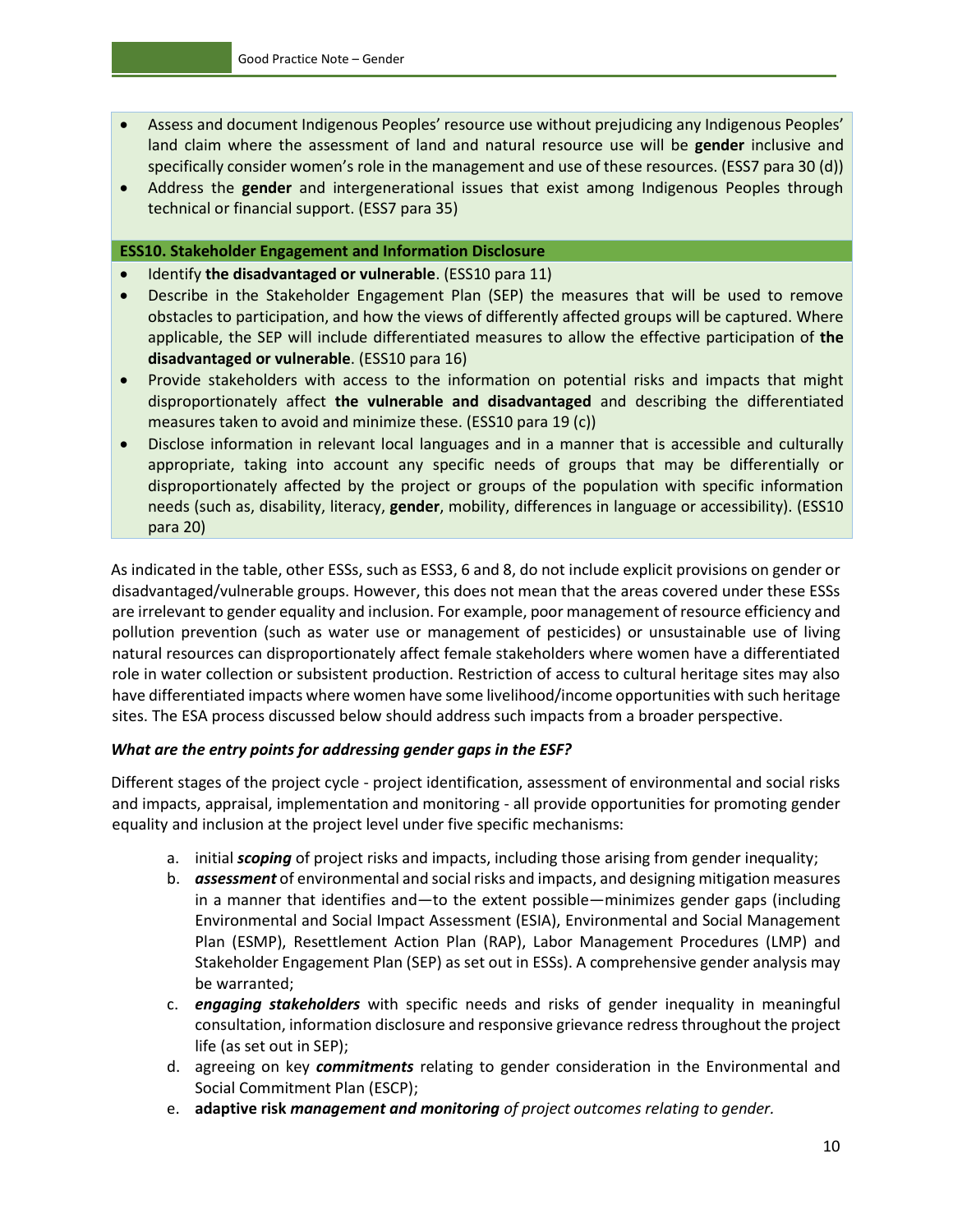- Assess and document Indigenous Peoples' resource use without prejudicing any Indigenous Peoples' land claim where the assessment of land and natural resource use will be **gender** inclusive and specifically consider women's role in the management and use of these resources. (ESS7 para 30 (d))
- Address the **gender** and intergenerational issues that exist among Indigenous Peoples through technical or financial support. (ESS7 para 35)

#### **ESS10. Stakeholder Engagement and Information Disclosure**

- Identify **the disadvantaged or vulnerable**. (ESS10 para 11)
- Describe in the Stakeholder Engagement Plan (SEP) the measures that will be used to remove obstacles to participation, and how the views of differently affected groups will be captured. Where applicable, the SEP will include differentiated measures to allow the effective participation of **the disadvantaged or vulnerable**. (ESS10 para 16)
- Provide stakeholders with access to the information on potential risks and impacts that might disproportionately affect **the vulnerable and disadvantaged** and describing the differentiated measures taken to avoid and minimize these. (ESS10 para 19 (c))
- Disclose information in relevant local languages and in a manner that is accessible and culturally appropriate, taking into account any specific needs of groups that may be differentially or disproportionately affected by the project or groups of the population with specific information needs (such as, disability, literacy, **gender**, mobility, differences in language or accessibility). (ESS10 para 20)

As indicated in the table, other ESSs, such as ESS3, 6 and 8, do not include explicit provisions on gender or disadvantaged/vulnerable groups. However, this does not mean that the areas covered under these ESSs are irrelevant to gender equality and inclusion. For example, poor management of resource efficiency and pollution prevention (such as water use or management of pesticides) or unsustainable use of living natural resources can disproportionately affect female stakeholders where women have a differentiated role in water collection or subsistent production. Restriction of access to cultural heritage sites may also have differentiated impacts where women have some livelihood/income opportunities with such heritage sites. The ESA process discussed below should address such impacts from a broader perspective.

#### *What are the entry points for addressing gender gaps in the ESF?*

Different stages of the project cycle - project identification, assessment of environmental and social risks and impacts, appraisal, implementation and monitoring - all provide opportunities for promoting gender equality and inclusion at the project level under five specific mechanisms:

- a. initial *scoping* of project risks and impacts, including those arising from gender inequality;
- b. *assessment* of environmental and social risks and impacts, and designing mitigation measures in a manner that identifies and—to the extent possible—minimizes gender gaps (including Environmental and Social Impact Assessment (ESIA), Environmental and Social Management Plan (ESMP), Resettlement Action Plan (RAP), Labor Management Procedures (LMP) and Stakeholder Engagement Plan (SEP) as set out in ESSs). A comprehensive gender analysis may be warranted;
- c. *engaging stakeholders* with specific needs and risks of gender inequality in meaningful consultation, information disclosure and responsive grievance redress throughout the project life (as set out in SEP);
- d. agreeing on key *commitments* relating to gender consideration in the Environmental and Social Commitment Plan (ESCP);
- e. **adaptive risk** *management and monitoring of project outcomes relating to gender.*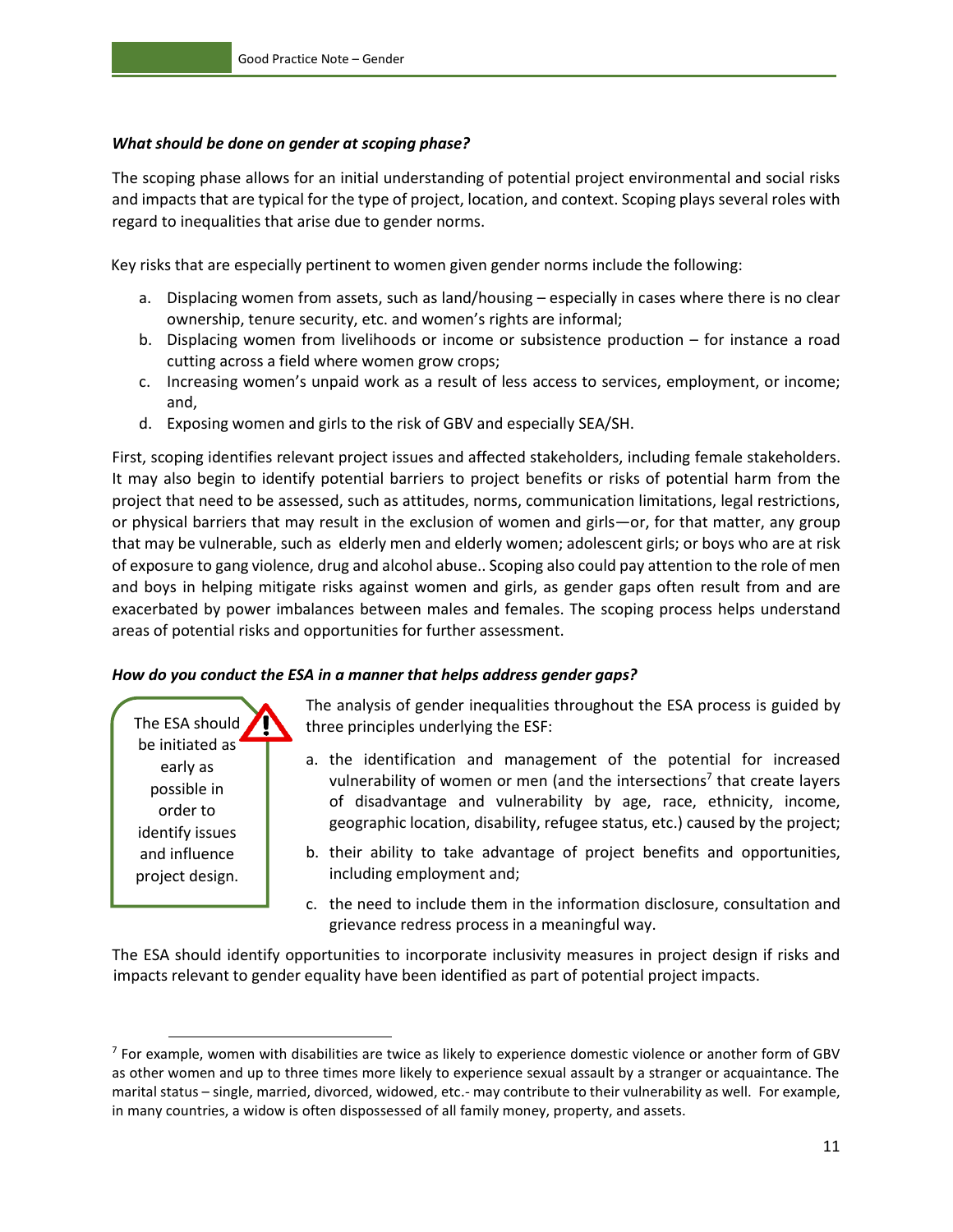#### *What should be done on gender at scoping phase?*

The scoping phase allows for an initial understanding of potential project environmental and social risks and impacts that are typical for the type of project, location, and context. Scoping plays several roles with regard to inequalities that arise due to gender norms.

Key risks that are especially pertinent to women given gender norms include the following:

- a. Displacing women from assets, such as land/housing especially in cases where there is no clear ownership, tenure security, etc. and women's rights are informal;
- b. Displacing women from livelihoods or income or subsistence production for instance a road cutting across a field where women grow crops;
- c. Increasing women's unpaid work as a result of less access to services, employment, or income; and,
- d. Exposing women and girls to the risk of GBV and especially SEA/SH.

First, scoping identifies relevant project issues and affected stakeholders, including female stakeholders. It may also begin to identify potential barriers to project benefits or risks of potential harm from the project that need to be assessed, such as attitudes, norms, communication limitations, legal restrictions, or physical barriers that may result in the exclusion of women and girls—or, for that matter, any group that may be vulnerable, such as elderly men and elderly women; adolescent girls; or boys who are at risk of exposure to gang violence, drug and alcohol abuse.. Scoping also could pay attention to the role of men and boys in helping mitigate risks against women and girls, as gender gaps often result from and are exacerbated by power imbalances between males and females. The scoping process helps understand areas of potential risks and opportunities for further assessment.

#### *How do you conduct the ESA in a manner that helps address gender gaps?*

The ESA should be initiated as early as possible in order to identify issues and influence project design.

The analysis of gender inequalities throughout the ESA process is guided by three principles underlying the ESF:

- a. the identification and management of the potential for increased vulnerability of women or men (and the intersections<sup>7</sup> that create layers of disadvantage and vulnerability by age, race, ethnicity, income, geographic location, disability, refugee status, etc.) caused by the project;
- b. their ability to take advantage of project benefits and opportunities, including employment and;
- c. the need to include them in the information disclosure, consultation and grievance redress process in a meaningful way.

The ESA should identify opportunities to incorporate inclusivity measures in project design if risks and impacts relevant to gender equality have been identified as part of potential project impacts.

 $^7$  For example, women with disabilities are twice as likely to experience domestic violence or another form of GBV as other women and up to three times more likely to experience sexual assault by a stranger or acquaintance. The marital status – single, married, divorced, widowed, etc.- may contribute to their vulnerability as well. For example, in many countries, a widow is often dispossessed of all family money, property, and assets.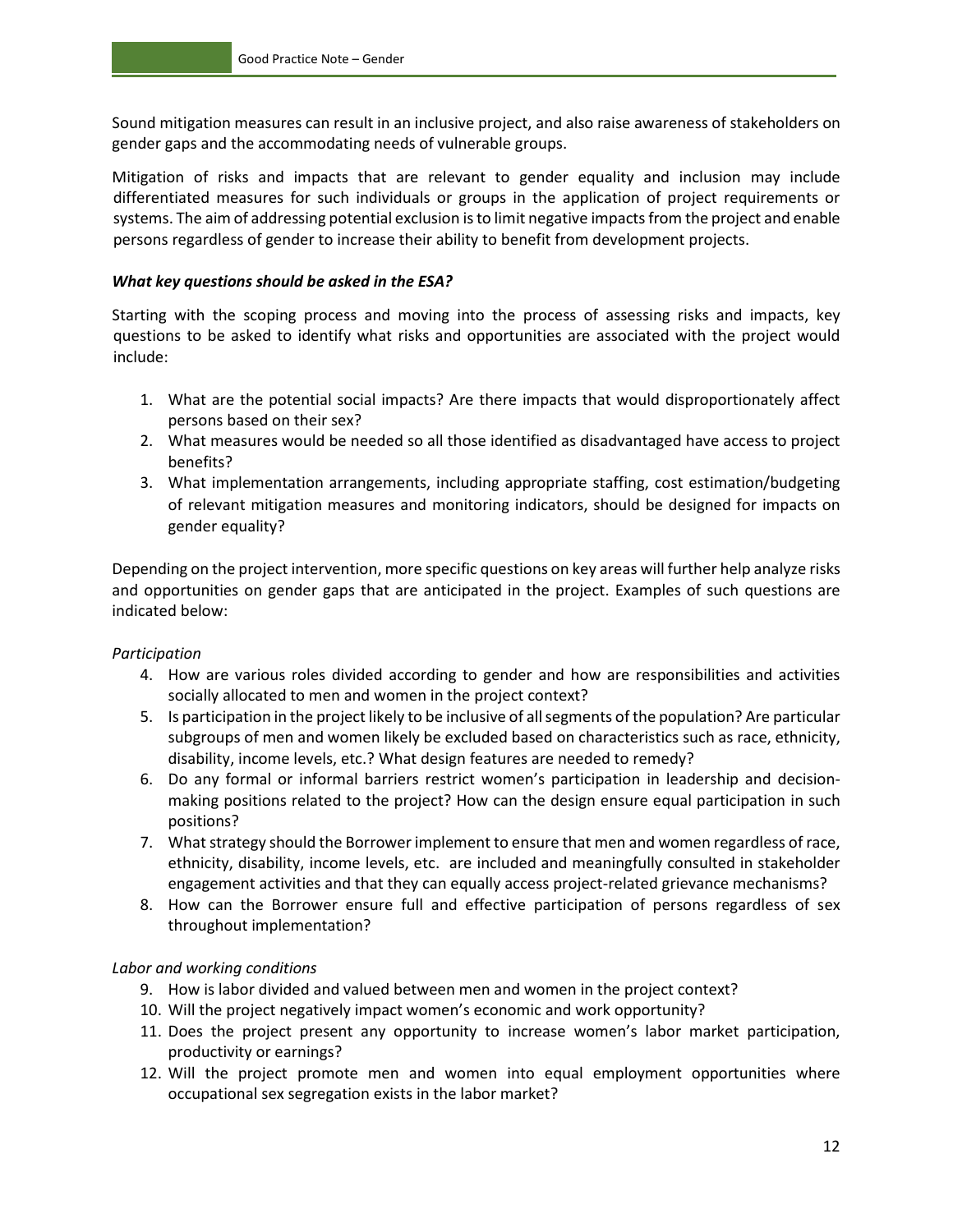Sound mitigation measures can result in an inclusive project, and also raise awareness of stakeholders on gender gaps and the accommodating needs of vulnerable groups.

Mitigation of risks and impacts that are relevant to gender equality and inclusion may include differentiated measures for such individuals or groups in the application of project requirements or systems. The aim of addressing potential exclusion is to limit negative impacts from the project and enable persons regardless of gender to increase their ability to benefit from development projects.

#### *What key questions should be asked in the ESA?*

Starting with the scoping process and moving into the process of assessing risks and impacts, key questions to be asked to identify what risks and opportunities are associated with the project would include:

- 1. What are the potential social impacts? Are there impacts that would disproportionately affect persons based on their sex?
- 2. What measures would be needed so all those identified as disadvantaged have access to project benefits?
- 3. What implementation arrangements, including appropriate staffing, cost estimation/budgeting of relevant mitigation measures and monitoring indicators, should be designed for impacts on gender equality?

Depending on the project intervention, more specific questions on key areas will further help analyze risks and opportunities on gender gaps that are anticipated in the project. Examples of such questions are indicated below:

#### *Participation*

- 4. How are various roles divided according to gender and how are responsibilities and activities socially allocated to men and women in the project context?
- 5. Is participation in the project likely to be inclusive of all segments of the population? Are particular subgroups of men and women likely be excluded based on characteristics such as race, ethnicity, disability, income levels, etc.? What design features are needed to remedy?
- 6. Do any formal or informal barriers restrict women's participation in leadership and decisionmaking positions related to the project? How can the design ensure equal participation in such positions?
- 7. What strategy should the Borrower implement to ensure that men and women regardless of race, ethnicity, disability, income levels, etc. are included and meaningfully consulted in stakeholder engagement activities and that they can equally access project-related grievance mechanisms?
- 8. How can the Borrower ensure full and effective participation of persons regardless of sex throughout implementation?

#### *Labor and working conditions*

- 9. How is labor divided and valued between men and women in the project context?
- 10. Will the project negatively impact women's economic and work opportunity?
- 11. Does the project present any opportunity to increase women's labor market participation, productivity or earnings?
- 12. Will the project promote men and women into equal employment opportunities where occupational sex segregation exists in the labor market?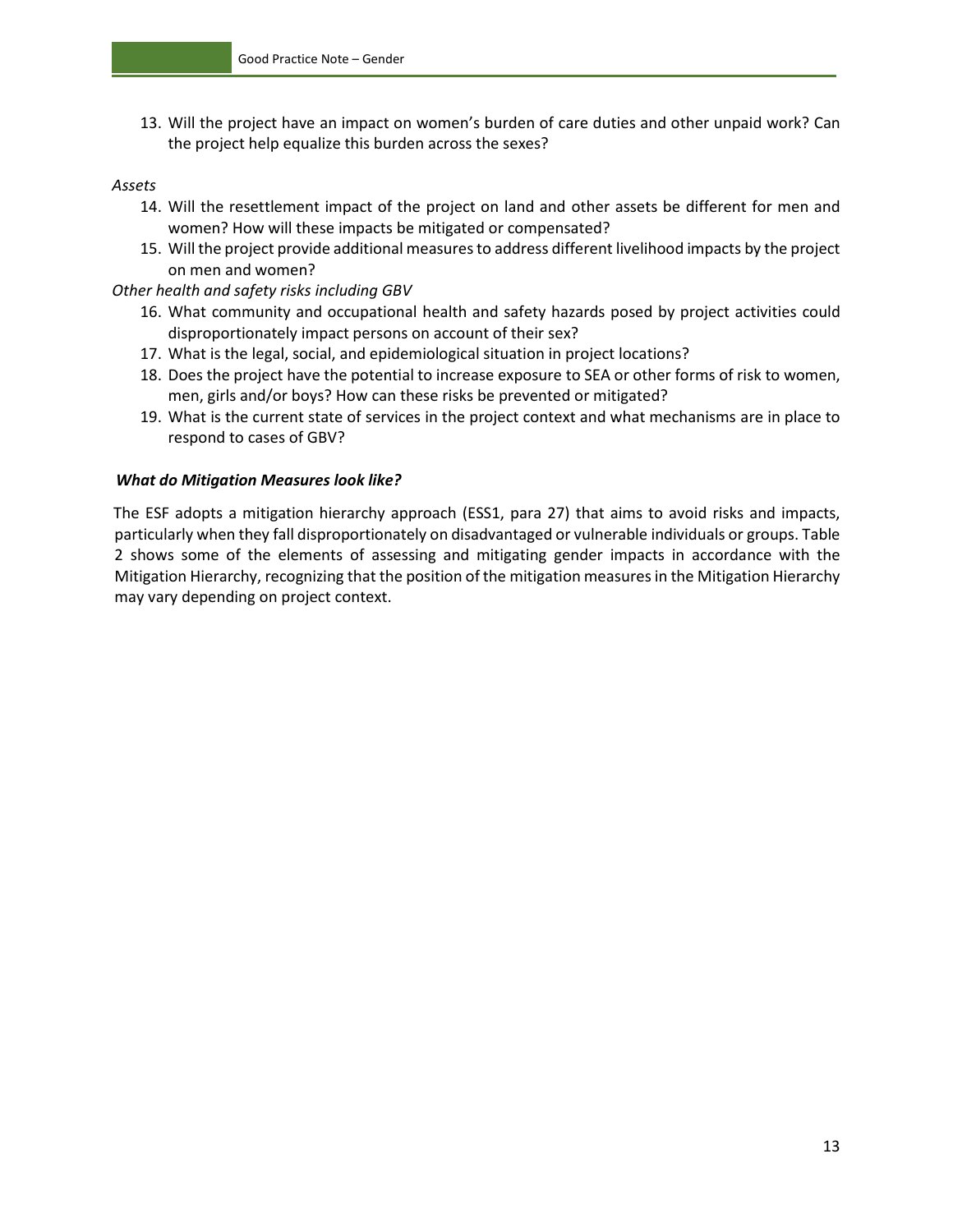13. Will the project have an impact on women's burden of care duties and other unpaid work? Can the project help equalize this burden across the sexes?

#### *Assets*

- 14. Will the resettlement impact of the project on land and other assets be different for men and women? How will these impacts be mitigated or compensated?
- 15. Will the project provide additional measures to address different livelihood impacts by the project on men and women?

#### *Other health and safety risks including GBV*

- 16. What community and occupational health and safety hazards posed by project activities could disproportionately impact persons on account of their sex?
- 17. What is the legal, social, and epidemiological situation in project locations?
- 18. Does the project have the potential to increase exposure to SEA or other forms of risk to women, men, girls and/or boys? How can these risks be prevented or mitigated?
- 19. What is the current state of services in the project context and what mechanisms are in place to respond to cases of GBV?

#### *What do Mitigation Measures look like?*

The ESF adopts a mitigation hierarchy approach (ESS1, para 27) that aims to avoid risks and impacts, particularly when they fall disproportionately on disadvantaged or vulnerable individuals or groups. Table 2 shows some of the elements of assessing and mitigating gender impacts in accordance with the Mitigation Hierarchy, recognizing that the position of the mitigation measures in the Mitigation Hierarchy may vary depending on project context.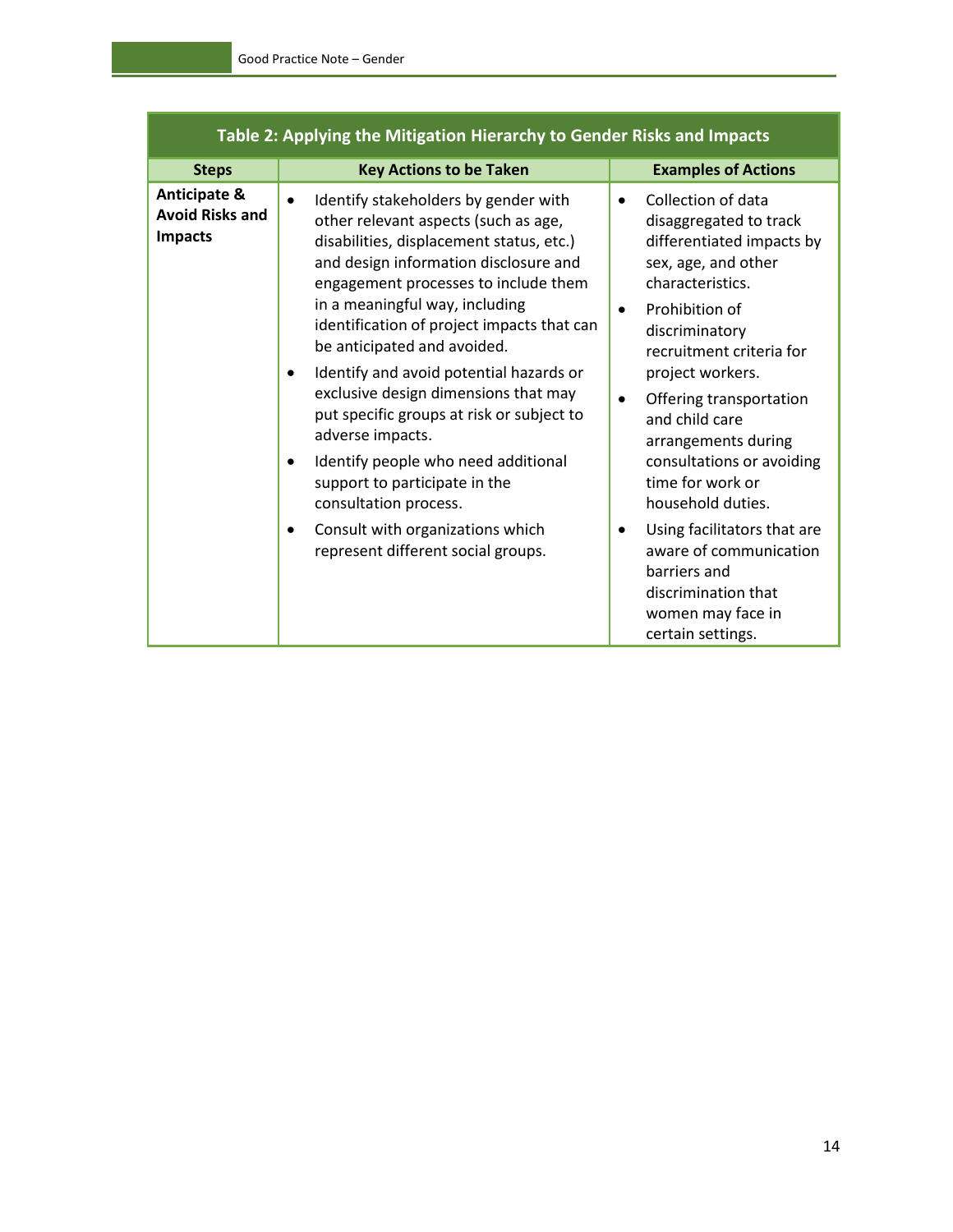| Table 2: Applying the Mitigation Hierarchy to Gender Risks and Impacts |                                                                                                                                                                                                                                                                                                                                       |                                                                                                                                                                                                                |  |
|------------------------------------------------------------------------|---------------------------------------------------------------------------------------------------------------------------------------------------------------------------------------------------------------------------------------------------------------------------------------------------------------------------------------|----------------------------------------------------------------------------------------------------------------------------------------------------------------------------------------------------------------|--|
| <b>Steps</b>                                                           | <b>Key Actions to be Taken</b>                                                                                                                                                                                                                                                                                                        | <b>Examples of Actions</b>                                                                                                                                                                                     |  |
| <b>Anticipate &amp;</b><br><b>Avoid Risks and</b><br><b>Impacts</b>    | Identify stakeholders by gender with<br>$\bullet$<br>other relevant aspects (such as age,<br>disabilities, displacement status, etc.)<br>and design information disclosure and<br>engagement processes to include them<br>in a meaningful way, including<br>identification of project impacts that can<br>be anticipated and avoided. | Collection of data<br>$\bullet$<br>disaggregated to track<br>differentiated impacts by<br>sex, age, and other<br>characteristics.<br>Prohibition of<br>$\bullet$<br>discriminatory<br>recruitment criteria for |  |
|                                                                        | Identify and avoid potential hazards or<br>$\bullet$<br>exclusive design dimensions that may<br>put specific groups at risk or subject to<br>adverse impacts.<br>Identify people who need additional<br>٠<br>support to participate in the<br>consultation process.                                                                   | project workers.<br>Offering transportation<br>$\bullet$<br>and child care<br>arrangements during<br>consultations or avoiding<br>time for work or<br>household duties.                                        |  |
|                                                                        | Consult with organizations which<br>٠<br>represent different social groups.                                                                                                                                                                                                                                                           | Using facilitators that are<br>$\bullet$<br>aware of communication<br>barriers and<br>discrimination that<br>women may face in<br>certain settings.                                                            |  |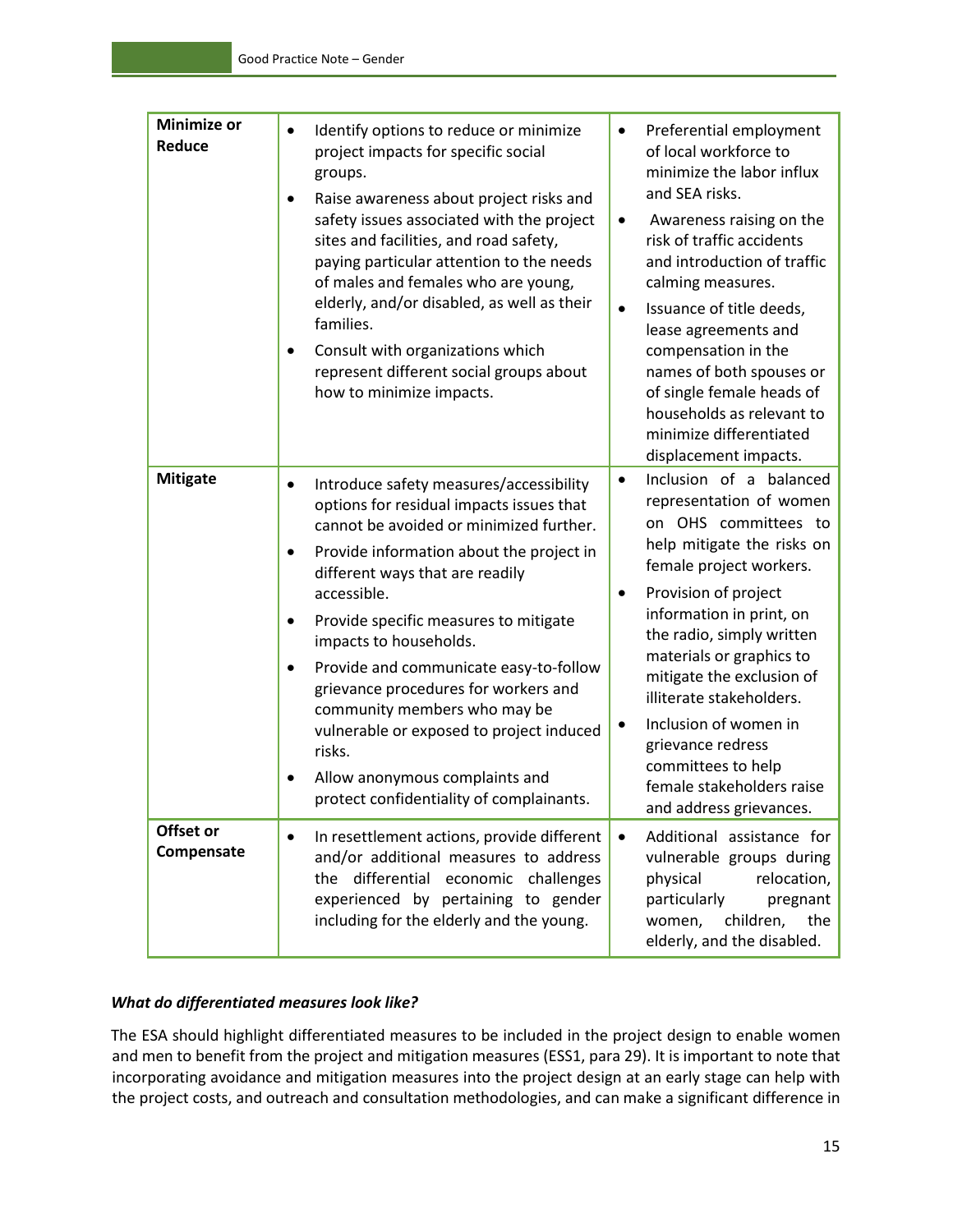| <b>Minimize or</b><br>Reduce | Identify options to reduce or minimize<br>$\bullet$<br>project impacts for specific social<br>groups.<br>Raise awareness about project risks and<br>safety issues associated with the project<br>sites and facilities, and road safety,<br>paying particular attention to the needs<br>of males and females who are young,<br>elderly, and/or disabled, as well as their<br>families.<br>Consult with organizations which<br>$\bullet$<br>represent different social groups about<br>how to minimize impacts.                                                                                          | Preferential employment<br>$\bullet$<br>of local workforce to<br>minimize the labor influx<br>and SEA risks.<br>Awareness raising on the<br>$\bullet$<br>risk of traffic accidents<br>and introduction of traffic<br>calming measures.<br>Issuance of title deeds,<br>$\bullet$<br>lease agreements and<br>compensation in the<br>names of both spouses or<br>of single female heads of<br>households as relevant to<br>minimize differentiated<br>displacement impacts.    |
|------------------------------|--------------------------------------------------------------------------------------------------------------------------------------------------------------------------------------------------------------------------------------------------------------------------------------------------------------------------------------------------------------------------------------------------------------------------------------------------------------------------------------------------------------------------------------------------------------------------------------------------------|-----------------------------------------------------------------------------------------------------------------------------------------------------------------------------------------------------------------------------------------------------------------------------------------------------------------------------------------------------------------------------------------------------------------------------------------------------------------------------|
| <b>Mitigate</b>              | Introduce safety measures/accessibility<br>$\bullet$<br>options for residual impacts issues that<br>cannot be avoided or minimized further.<br>Provide information about the project in<br>٠<br>different ways that are readily<br>accessible.<br>Provide specific measures to mitigate<br>٠<br>impacts to households.<br>Provide and communicate easy-to-follow<br>$\bullet$<br>grievance procedures for workers and<br>community members who may be<br>vulnerable or exposed to project induced<br>risks.<br>Allow anonymous complaints and<br>$\bullet$<br>protect confidentiality of complainants. | Inclusion of a balanced<br>$\bullet$<br>representation of women<br>on OHS committees to<br>help mitigate the risks on<br>female project workers.<br>Provision of project<br>$\bullet$<br>information in print, on<br>the radio, simply written<br>materials or graphics to<br>mitigate the exclusion of<br>illiterate stakeholders.<br>Inclusion of women in<br>$\bullet$<br>grievance redress<br>committees to help<br>female stakeholders raise<br>and address grievances |
| Offset or<br>Compensate      | In resettlement actions, provide different<br>$\bullet$<br>and/or additional measures to address<br>the differential economic challenges<br>experienced by pertaining to gender<br>including for the elderly and the young.                                                                                                                                                                                                                                                                                                                                                                            | Additional assistance for<br>$\bullet$<br>vulnerable groups during<br>relocation,<br>physical<br>particularly<br>pregnant<br>children,<br>women,<br>the<br>elderly, and the disabled.                                                                                                                                                                                                                                                                                       |

#### *What do differentiated measures look like?*

The ESA should highlight differentiated measures to be included in the project design to enable women and men to benefit from the project and mitigation measures (ESS1, para 29). It is important to note that incorporating avoidance and mitigation measures into the project design at an early stage can help with the project costs, and outreach and consultation methodologies, and can make a significant difference in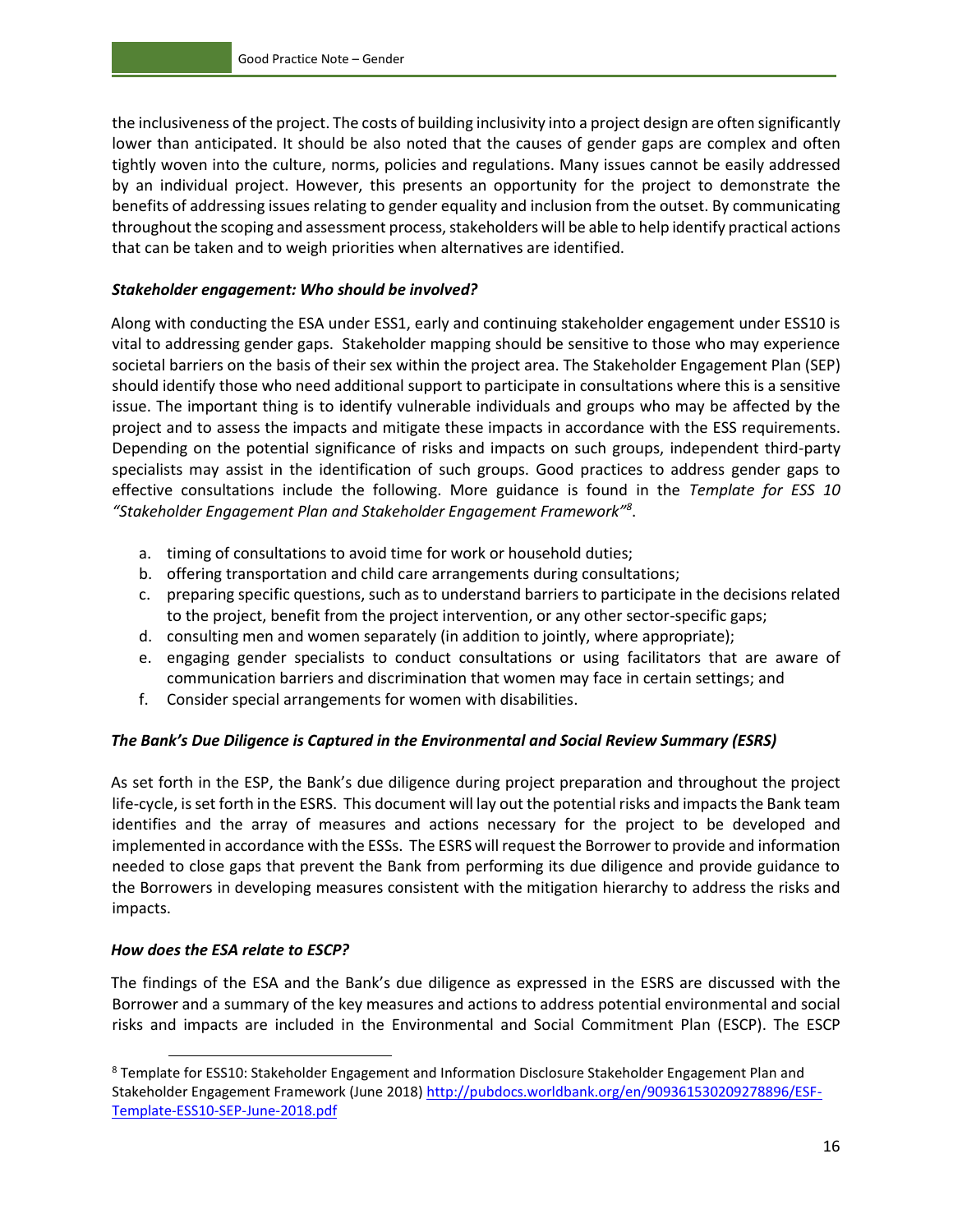the inclusiveness of the project. The costs of building inclusivity into a project design are often significantly lower than anticipated. It should be also noted that the causes of gender gaps are complex and often tightly woven into the culture, norms, policies and regulations. Many issues cannot be easily addressed by an individual project. However, this presents an opportunity for the project to demonstrate the benefits of addressing issues relating to gender equality and inclusion from the outset. By communicating throughout the scoping and assessment process, stakeholders will be able to help identify practical actions that can be taken and to weigh priorities when alternatives are identified.

#### *Stakeholder engagement: Who should be involved?*

Along with conducting the ESA under ESS1, early and continuing stakeholder engagement under ESS10 is vital to addressing gender gaps. Stakeholder mapping should be sensitive to those who may experience societal barriers on the basis of their sex within the project area. The Stakeholder Engagement Plan (SEP) should identify those who need additional support to participate in consultations where this is a sensitive issue. The important thing is to identify vulnerable individuals and groups who may be affected by the project and to assess the impacts and mitigate these impacts in accordance with the ESS requirements. Depending on the potential significance of risks and impacts on such groups, independent third-party specialists may assist in the identification of such groups. Good practices to address gender gaps to effective consultations include the following. More guidance is found in the *Template for ESS 10 "Stakeholder Engagement Plan and Stakeholder Engagement Framework"<sup>8</sup>* .

- a. timing of consultations to avoid time for work or household duties;
- b. offering transportation and child care arrangements during consultations;
- c. preparing specific questions, such as to understand barriers to participate in the decisions related to the project, benefit from the project intervention, or any other sector-specific gaps;
- d. consulting men and women separately (in addition to jointly, where appropriate);
- e. engaging gender specialists to conduct consultations or using facilitators that are aware of communication barriers and discrimination that women may face in certain settings; and
- f. Consider special arrangements for women with disabilities.

#### *The Bank's Due Diligence is Captured in the Environmental and Social Review Summary (ESRS)*

As set forth in the ESP, the Bank's due diligence during project preparation and throughout the project life-cycle, is set forth in the ESRS. This document will lay out the potential risks and impacts the Bank team identifies and the array of measures and actions necessary for the project to be developed and implemented in accordance with the ESSs. The ESRS will request the Borrower to provide and information needed to close gaps that prevent the Bank from performing its due diligence and provide guidance to the Borrowers in developing measures consistent with the mitigation hierarchy to address the risks and impacts.

#### *How does the ESA relate to ESCP?*

The findings of the ESA and the Bank's due diligence as expressed in the ESRS are discussed with the Borrower and a summary of the key measures and actions to address potential environmental and social risks and impacts are included in the Environmental and Social Commitment Plan (ESCP). The ESCP

<sup>8</sup> Template for ESS10: Stakeholder Engagement and Information Disclosure Stakeholder Engagement Plan and Stakeholder Engagement Framework (June 2018) [http://pubdocs.worldbank.org/en/909361530209278896/ESF-](http://pubdocs.worldbank.org/en/909361530209278896/ESF-Template-ESS10-SEP-June-2018.pdf)[Template-ESS10-SEP-June-2018.pdf](http://pubdocs.worldbank.org/en/909361530209278896/ESF-Template-ESS10-SEP-June-2018.pdf)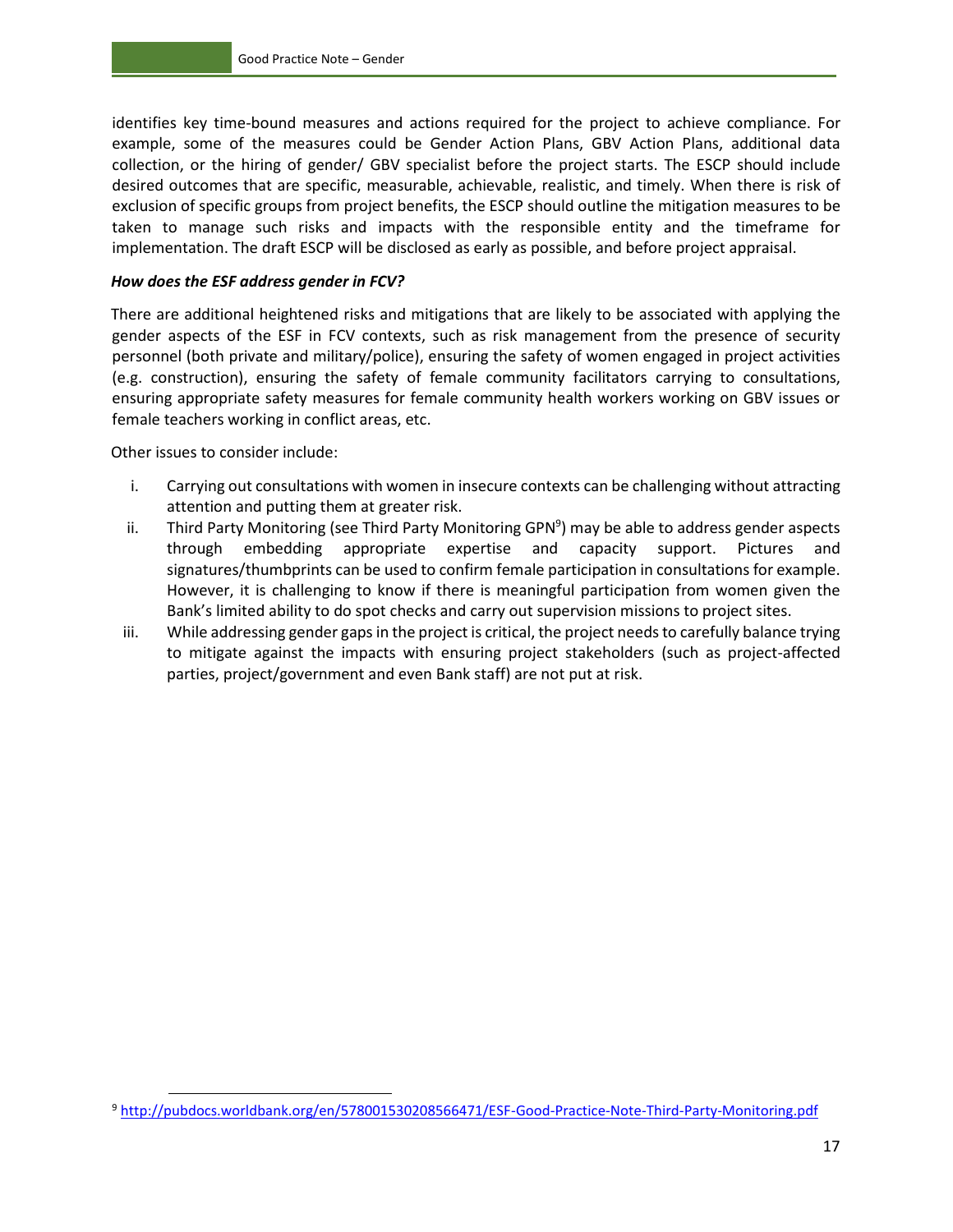identifies key time-bound measures and actions required for the project to achieve compliance. For example, some of the measures could be Gender Action Plans, GBV Action Plans, additional data collection, or the hiring of gender/ GBV specialist before the project starts. The ESCP should include desired outcomes that are specific, measurable, achievable, realistic, and timely. When there is risk of exclusion of specific groups from project benefits, the ESCP should outline the mitigation measures to be taken to manage such risks and impacts with the responsible entity and the timeframe for implementation. The draft ESCP will be disclosed as early as possible, and before project appraisal.

#### *How does the ESF address gender in FCV?*

There are additional heightened risks and mitigations that are likely to be associated with applying the gender aspects of the ESF in FCV contexts, such as risk management from the presence of security personnel (both private and military/police), ensuring the safety of women engaged in project activities (e.g. construction), ensuring the safety of female community facilitators carrying to consultations, ensuring appropriate safety measures for female community health workers working on GBV issues or female teachers working in conflict areas, etc.

Other issues to consider include:

 $\overline{a}$ 

- i. Carrying out consultations with women in insecure contexts can be challenging without attracting attention and putting them at greater risk.
- ii. Third Party Monitoring (see Third Party Monitoring GPN<sup>9</sup>) may be able to address gender aspects through embedding appropriate expertise and capacity support. Pictures and signatures/thumbprints can be used to confirm female participation in consultations for example. However, it is challenging to know if there is meaningful participation from women given the Bank's limited ability to do spot checks and carry out supervision missions to project sites.
- iii. While addressing gender gaps in the project is critical, the project needs to carefully balance trying to mitigate against the impacts with ensuring project stakeholders (such as project-affected parties, project/government and even Bank staff) are not put at risk.

<sup>9</sup> <http://pubdocs.worldbank.org/en/578001530208566471/ESF-Good-Practice-Note-Third-Party-Monitoring.pdf>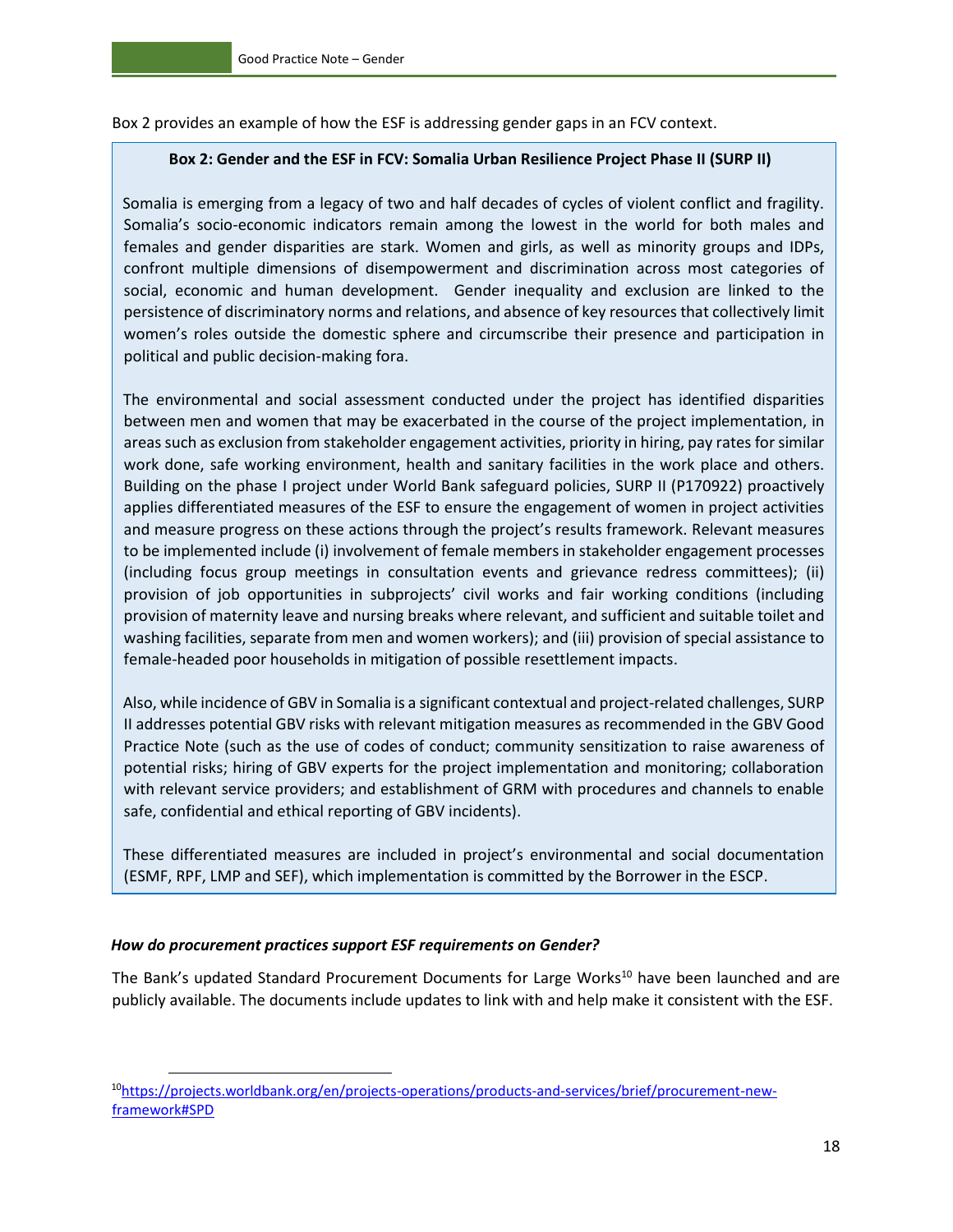Box 2 provides an example of how the ESF is addressing gender gaps in an FCV context.

#### **Box 2: Gender and the ESF in FCV: Somalia Urban Resilience Project Phase II (SURP II)**

Somalia is emerging from a legacy of two and half decades of cycles of violent conflict and fragility. Somalia's socio-economic indicators remain among the lowest in the world for both males and females and gender disparities are stark. Women and girls, as well as minority groups and IDPs, confront multiple dimensions of disempowerment and discrimination across most categories of social, economic and human development. Gender inequality and exclusion are linked to the persistence of discriminatory norms and relations, and absence of key resources that collectively limit women's roles outside the domestic sphere and circumscribe their presence and participation in political and public decision-making fora.

The environmental and social assessment conducted under the project has identified disparities between men and women that may be exacerbated in the course of the project implementation, in areas such as exclusion from stakeholder engagement activities, priority in hiring, pay rates for similar work done, safe working environment, health and sanitary facilities in the work place and others. Building on the phase I project under World Bank safeguard policies, SURP II (P170922) proactively applies differentiated measures of the ESF to ensure the engagement of women in project activities and measure progress on these actions through the project's results framework. Relevant measures to be implemented include (i) involvement of female members in stakeholder engagement processes (including focus group meetings in consultation events and grievance redress committees); (ii) provision of job opportunities in subprojects' civil works and fair working conditions (including provision of maternity leave and nursing breaks where relevant, and sufficient and suitable toilet and washing facilities, separate from men and women workers); and (iii) provision of special assistance to female-headed poor households in mitigation of possible resettlement impacts.

Also, while incidence of GBV in Somalia is a significant contextual and project-related challenges, SURP II addresses potential GBV risks with relevant mitigation measures as recommended in the GBV Good Practice Note (such as the use of codes of conduct; community sensitization to raise awareness of potential risks; hiring of GBV experts for the project implementation and monitoring; collaboration with relevant service providers; and establishment of GRM with procedures and channels to enable safe, confidential and ethical reporting of GBV incidents).

These differentiated measures are included in project's environmental and social documentation (ESMF, RPF, LMP and SEF), which implementation is committed by the Borrower in the ESCP.

#### *How do procurement practices support ESF requirements on Gender?*

 $\overline{a}$ 

The Bank's updated Standard Procurement Documents for Large Works<sup>10</sup> have been launched and are publicly available. The documents include updates to link with and help make it consistent with the ESF.

<sup>10</sup>[https://projects.worldbank.org/en/projects-operations/products-and-services/brief/procurement-new](https://projects.worldbank.org/en/projects-operations/products-and-services/brief/procurement-new-framework#SPD)[framework#SPD](https://projects.worldbank.org/en/projects-operations/products-and-services/brief/procurement-new-framework#SPD)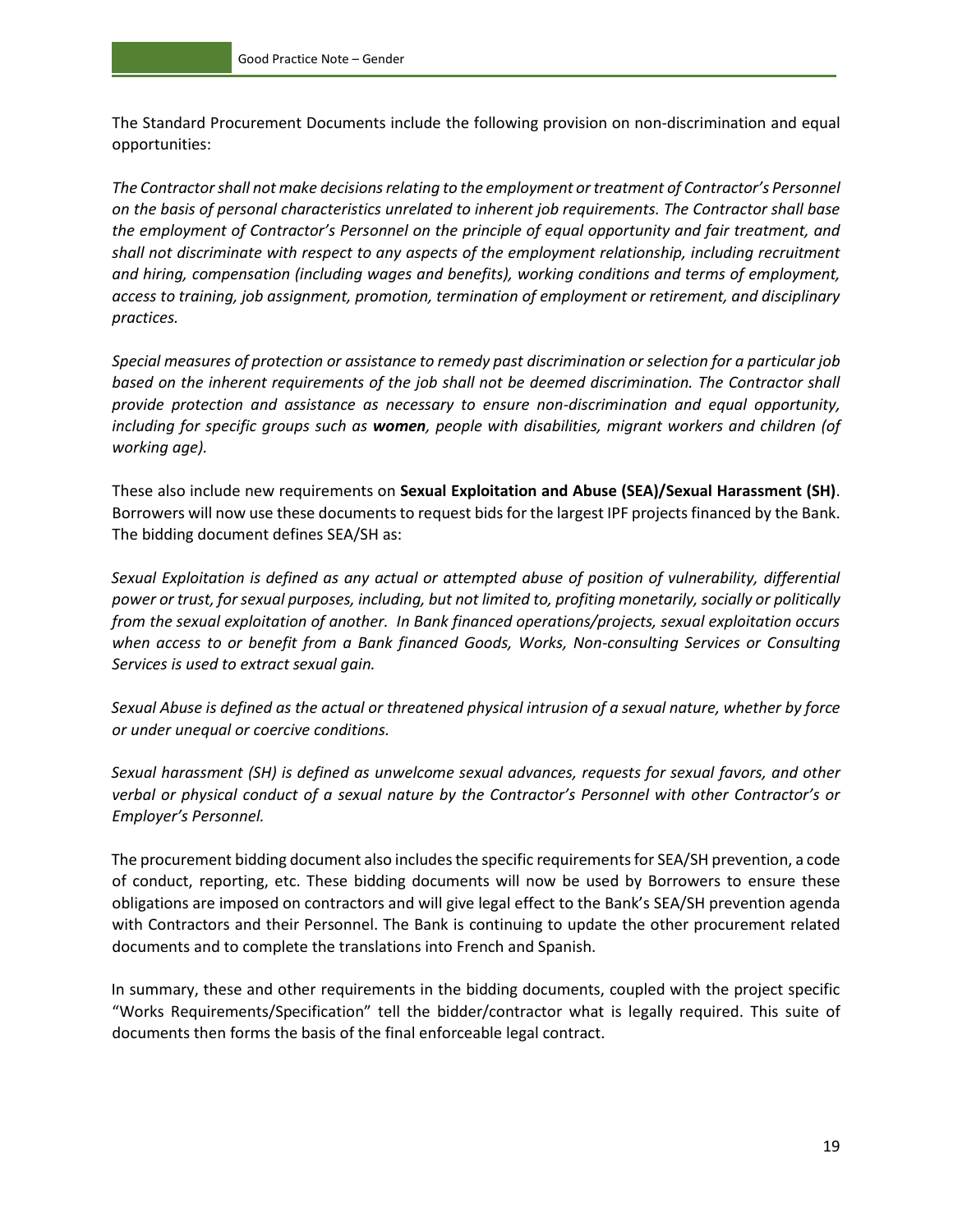The Standard Procurement Documents include the following provision on non-discrimination and equal opportunities:

*The Contractor shall not make decisions relating to the employment or treatment of Contractor's Personnel on the basis of personal characteristics unrelated to inherent job requirements. The Contractor shall base the employment of Contractor's Personnel on the principle of equal opportunity and fair treatment, and shall not discriminate with respect to any aspects of the employment relationship, including recruitment and hiring, compensation (including wages and benefits), working conditions and terms of employment, access to training, job assignment, promotion, termination of employment or retirement, and disciplinary practices.* 

*Special measures of protection or assistance to remedy past discrimination or selection for a particular job based on the inherent requirements of the job shall not be deemed discrimination. The Contractor shall provide protection and assistance as necessary to ensure non-discrimination and equal opportunity, including for specific groups such as women, people with disabilities, migrant workers and children (of working age).* 

These also include new requirements on **Sexual Exploitation and Abuse (SEA)/Sexual Harassment (SH)**. Borrowers will now use these documents to request bids for the largest IPF projects financed by the Bank. The bidding document defines SEA/SH as:

*Sexual Exploitation is defined as any actual or attempted abuse of position of vulnerability, differential power or trust, for sexual purposes, including, but not limited to, profiting monetarily, socially or politically from the sexual exploitation of another. In Bank financed operations/projects, sexual exploitation occurs when access to or benefit from a Bank financed Goods, Works, Non-consulting Services or Consulting Services is used to extract sexual gain.*

*Sexual Abuse is defined as the actual or threatened physical intrusion of a sexual nature, whether by force or under unequal or coercive conditions.* 

*Sexual harassment (SH) is defined as unwelcome sexual advances, requests for sexual favors, and other verbal or physical conduct of a sexual nature by the Contractor's Personnel with other Contractor's or Employer's Personnel.*

The procurement bidding document also includes the specific requirements for SEA/SH prevention, a code of conduct, reporting, etc. These bidding documents will now be used by Borrowers to ensure these obligations are imposed on contractors and will give legal effect to the Bank's SEA/SH prevention agenda with Contractors and their Personnel. The Bank is continuing to update the other procurement related documents and to complete the translations into French and Spanish.

In summary, these and other requirements in the bidding documents, coupled with the project specific "Works Requirements/Specification" tell the bidder/contractor what is legally required. This suite of documents then forms the basis of the final enforceable legal contract.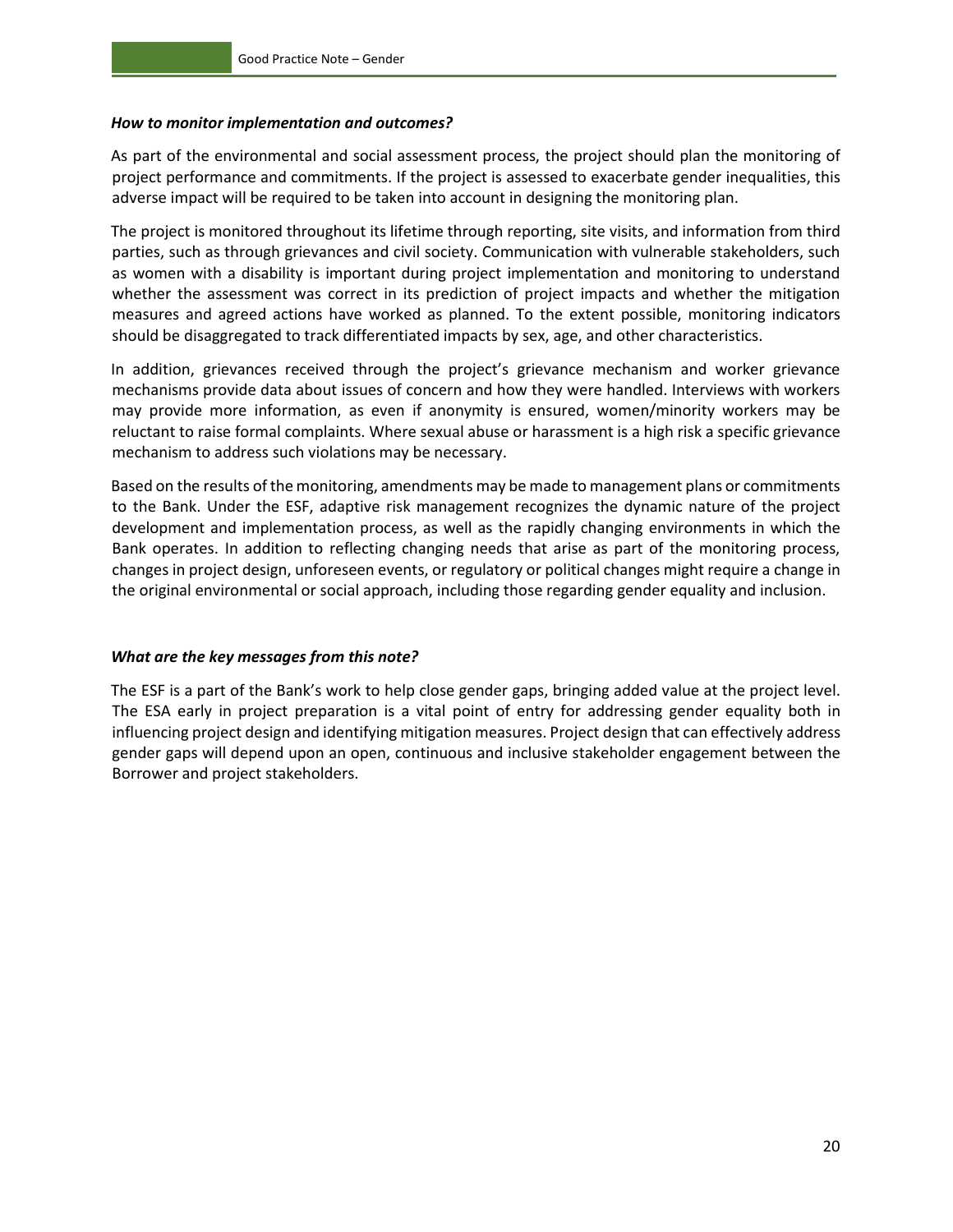#### *How to monitor implementation and outcomes?*

As part of the environmental and social assessment process, the project should plan the monitoring of project performance and commitments. If the project is assessed to exacerbate gender inequalities, this adverse impact will be required to be taken into account in designing the monitoring plan.

The project is monitored throughout its lifetime through reporting, site visits, and information from third parties, such as through grievances and civil society. Communication with vulnerable stakeholders, such as women with a disability is important during project implementation and monitoring to understand whether the assessment was correct in its prediction of project impacts and whether the mitigation measures and agreed actions have worked as planned. To the extent possible, monitoring indicators should be disaggregated to track differentiated impacts by sex, age, and other characteristics.

In addition, grievances received through the project's grievance mechanism and worker grievance mechanisms provide data about issues of concern and how they were handled. Interviews with workers may provide more information, as even if anonymity is ensured, women/minority workers may be reluctant to raise formal complaints. Where sexual abuse or harassment is a high risk a specific grievance mechanism to address such violations may be necessary.

Based on the results of the monitoring, amendments may be made to management plans or commitments to the Bank. Under the ESF, adaptive risk management recognizes the dynamic nature of the project development and implementation process, as well as the rapidly changing environments in which the Bank operates. In addition to reflecting changing needs that arise as part of the monitoring process, changes in project design, unforeseen events, or regulatory or political changes might require a change in the original environmental or social approach, including those regarding gender equality and inclusion.

#### *What are the key messages from this note?*

The ESF is a part of the Bank's work to help close gender gaps, bringing added value at the project level. The ESA early in project preparation is a vital point of entry for addressing gender equality both in influencing project design and identifying mitigation measures. Project design that can effectively address gender gaps will depend upon an open, continuous and inclusive stakeholder engagement between the Borrower and project stakeholders.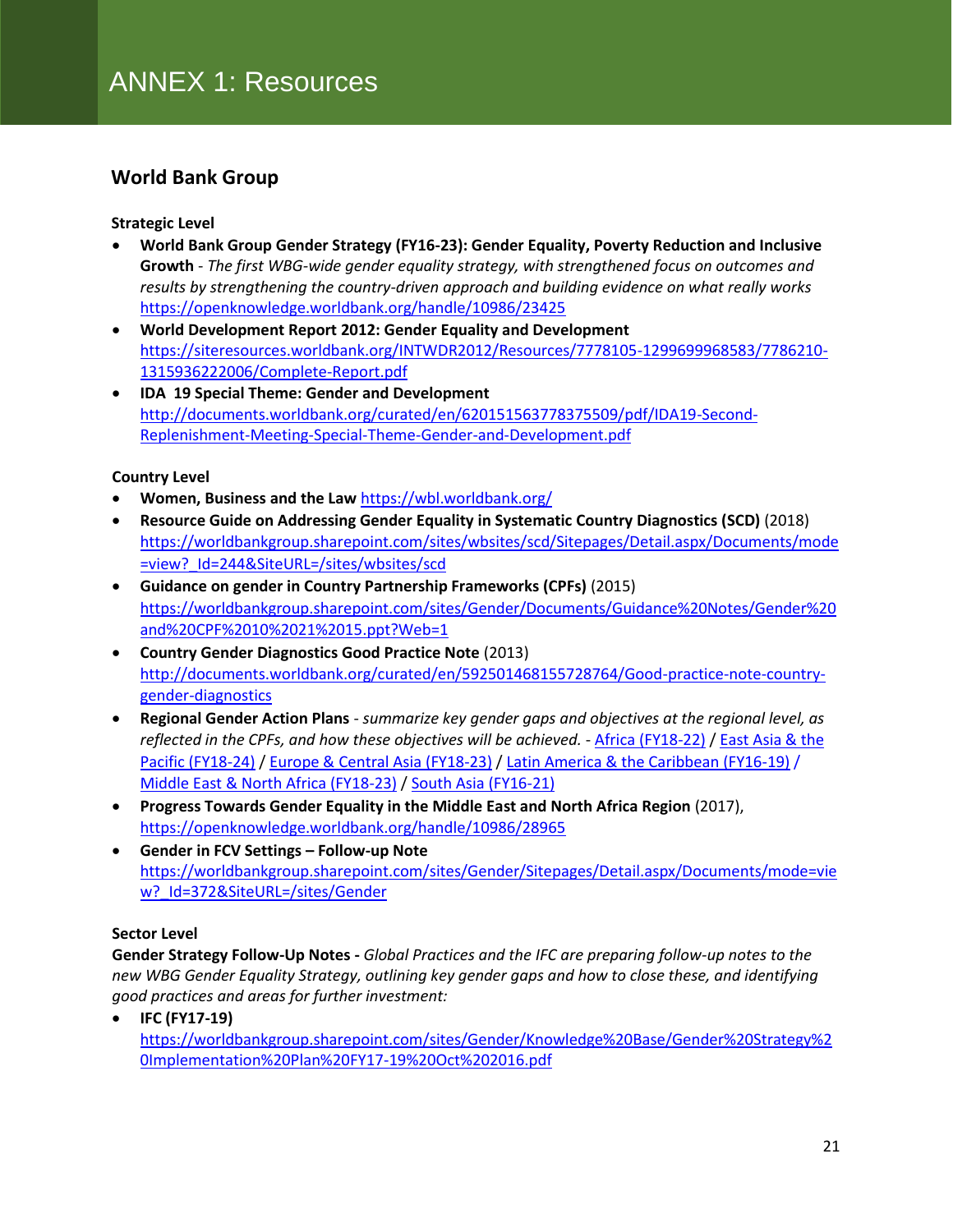#### **World Bank Group**

#### **Strategic Level**

- **World Bank Group Gender Strategy (FY16-23): Gender Equality, Poverty Reduction and Inclusive Growth** - *The first WBG-wide gender equality strategy, with strengthened focus on outcomes and results by strengthening the country-driven approach and building evidence on what really works*  <https://openknowledge.worldbank.org/handle/10986/23425>
- **World Development Report 2012: Gender Equality and Development** [https://siteresources.worldbank.org/INTWDR2012/Resources/7778105-1299699968583/7786210-](https://siteresources.worldbank.org/INTWDR2012/Resources/7778105-1299699968583/7786210-1315936222006/Complete-Report.pdf) [1315936222006/Complete-Report.pdf](https://siteresources.worldbank.org/INTWDR2012/Resources/7778105-1299699968583/7786210-1315936222006/Complete-Report.pdf)
- **IDA 19 Special Theme: Gender and Development** http://documents.worldbank.org/curated/en/620151563778375509/pdf/IDA19-Second-Replenishment-Meeting-Special-Theme-Gender-and-Development.pdf

#### **Country Level**

- **Women, Business and the Law** <https://wbl.worldbank.org/>
- **Resource Guide on Addressing Gender Equality in Systematic Country Diagnostics (SCD)** (2018) [https://worldbankgroup.sharepoint.com/sites/wbsites/scd/Sitepages/Detail.aspx/Documents/mode](https://worldbankgroup.sharepoint.com/sites/wbsites/scd/Sitepages/Detail.aspx/Documents/mode=view?_Id=244&SiteURL=/sites/wbsites/scd) [=view?\\_Id=244&SiteURL=/sites/wbsites/scd](https://worldbankgroup.sharepoint.com/sites/wbsites/scd/Sitepages/Detail.aspx/Documents/mode=view?_Id=244&SiteURL=/sites/wbsites/scd)
- **Guidance on gender in Country Partnership Frameworks (CPFs)** (2015) [https://worldbankgroup.sharepoint.com/sites/Gender/Documents/Guidance%20Notes/Gender%20](https://worldbankgroup.sharepoint.com/sites/Gender/Documents/Guidance%20Notes/Gender%20and%20CPF%2010%2021%2015.ppt?Web=1) [and%20CPF%2010%2021%2015.ppt?Web=1](https://worldbankgroup.sharepoint.com/sites/Gender/Documents/Guidance%20Notes/Gender%20and%20CPF%2010%2021%2015.ppt?Web=1)
- **Country Gender Diagnostics Good Practice Note** (2013) [http://documents.worldbank.org/curated/en/592501468155728764/Good-practice-note-country](http://documents.worldbank.org/curated/en/592501468155728764/Good-practice-note-country-gender-diagnostics)[gender-diagnostics](http://documents.worldbank.org/curated/en/592501468155728764/Good-practice-note-country-gender-diagnostics)
- **Regional Gender Action Plans**  *summarize key gender gaps and objectives at the regional level, as reflected in the CPFs, and how these objectives will be achieved.* - [Africa \(FY18-22\)](https://worldbankgroup.sharepoint.com/sites/Gender/Documents/Regional%20Gender%20Action%20Plans/AFR%20RGAP%20FY18-22%20final.pdf) [/ East Asia & the](https://worldbankgroup.sharepoint.com/sites/Gender/Documents/Regional%20Gender%20Action%20Plans/EAP%20RGAP%20FY18_24%20%20Final%20after%20Decision%20Meeting%20V1.pdf)  [Pacific \(FY18-24\)](https://worldbankgroup.sharepoint.com/sites/Gender/Documents/Regional%20Gender%20Action%20Plans/EAP%20RGAP%20FY18_24%20%20Final%20after%20Decision%20Meeting%20V1.pdf) / [Europe & Central Asia \(FY18-23\)](http://regions.worldbank.org/eca/_layouts/15/WopiFrame2.aspx?sourcedoc=/eca/Documents/ECADE%20documents/ECA%20RGAP%20FY18-23@2.docx&action=default) [/ Latin America & the Caribbean \(FY16-19\)](https://worldbankgroup.sharepoint.com/sites/Gender/Sitepages/Detail.aspx/Documents/mode=view?_Id=361&SiteURL=/sites/Gender) / [Middle East & North Africa \(FY18-23\)](https://worldbankgroup.sharepoint.com/sites/Gender/Documents/Regional%20Gender%20Action%20Plans/MNA%20Regional%20Gender%20Action%20Plan_FINAL_Dec2017.pdf) / [South Asia \(FY16-21\)](https://worldbankgroup.sharepoint.com/sites/Gender/Knowledge%20Base/SAR%20RGAP%20FY16-21.pdf)
- **Progress Towards Gender Equality in the Middle East and North Africa Region** (2017), <https://openknowledge.worldbank.org/handle/10986/28965>
- **Gender in FCV Settings – Follow-up Note**  [https://worldbankgroup.sharepoint.com/sites/Gender/Sitepages/Detail.aspx/Documents/mode=vie](https://worldbankgroup.sharepoint.com/sites/Gender/Sitepages/Detail.aspx/Documents/mode=view?_Id=372&SiteURL=/sites/Gender) w? Id=372&SiteURL=/sites/Gender

#### **Sector Level**

**Gender Strategy Follow-Up Notes -** *Global Practices and the IFC are preparing follow-up notes to the new WBG Gender Equality Strategy, outlining key gender gaps and how to close these, and identifying good practices and areas for further investment:*

• **IFC (FY17-19)**  [https://worldbankgroup.sharepoint.com/sites/Gender/Knowledge%20Base/Gender%20Strategy%2](https://worldbankgroup.sharepoint.com/sites/Gender/Knowledge%20Base/Gender%20Strategy%20Implementation%20Plan%20FY17-19%20Oct%202016.pdf) [0Implementation%20Plan%20FY17-19%20Oct%202016.pdf](https://worldbankgroup.sharepoint.com/sites/Gender/Knowledge%20Base/Gender%20Strategy%20Implementation%20Plan%20FY17-19%20Oct%202016.pdf)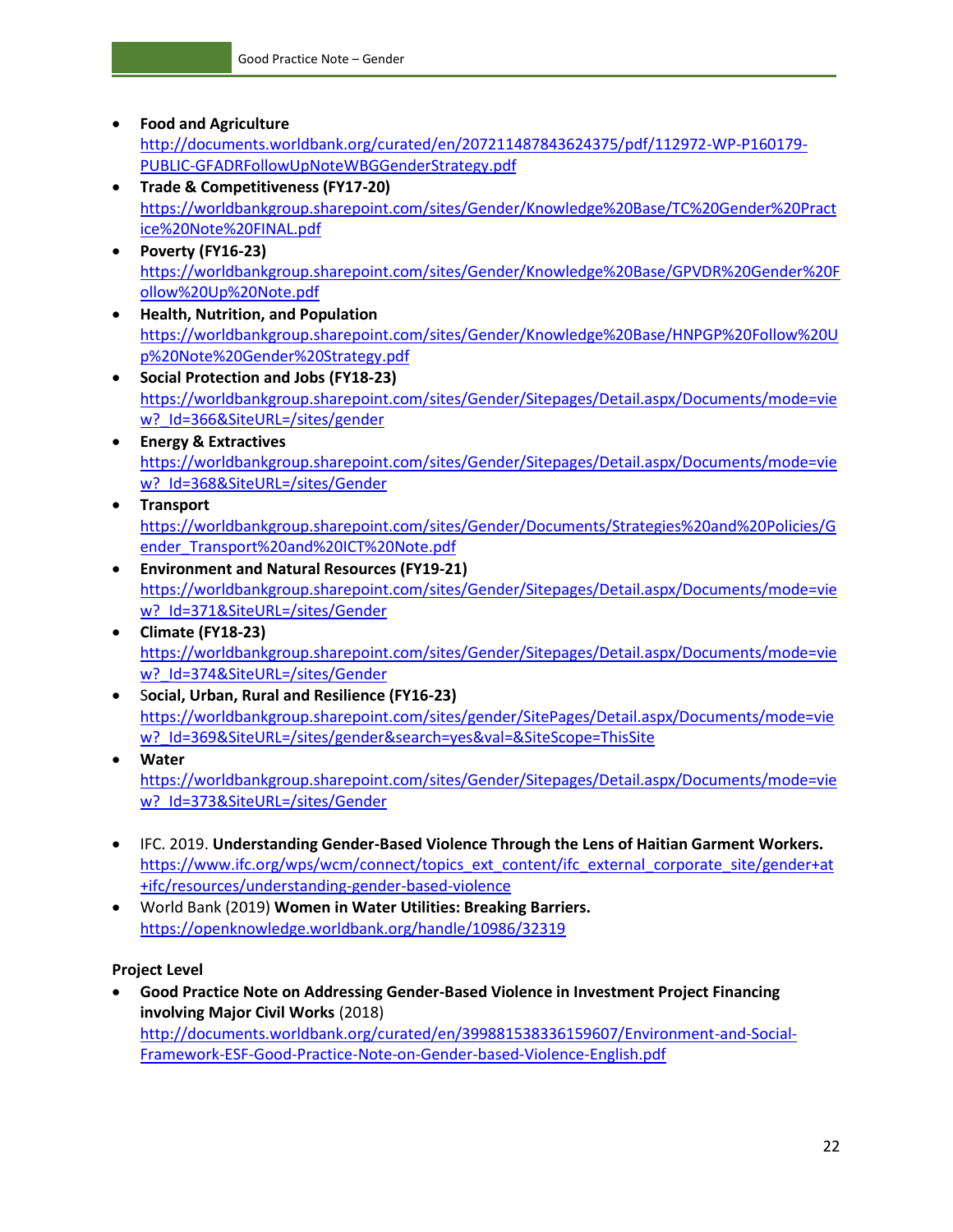- **Food and Agriculture**  [http://documents.worldbank.org/curated/en/207211487843624375/pdf/112972-WP-P160179-](http://documents.worldbank.org/curated/en/207211487843624375/pdf/112972-WP-P160179-PUBLIC-GFADRFollowUpNoteWBGGenderStrategy.pdf) [PUBLIC-GFADRFollowUpNoteWBGGenderStrategy.pdf](http://documents.worldbank.org/curated/en/207211487843624375/pdf/112972-WP-P160179-PUBLIC-GFADRFollowUpNoteWBGGenderStrategy.pdf)
- **Trade & Competitiveness (FY17-20)**  [https://worldbankgroup.sharepoint.com/sites/Gender/Knowledge%20Base/TC%20Gender%20Pract](https://worldbankgroup.sharepoint.com/sites/Gender/Knowledge%20Base/TC%20Gender%20Practice%20Note%20FINAL.pdf) [ice%20Note%20FINAL.pdf](https://worldbankgroup.sharepoint.com/sites/Gender/Knowledge%20Base/TC%20Gender%20Practice%20Note%20FINAL.pdf)
- **Poverty (FY16-23)**  [https://worldbankgroup.sharepoint.com/sites/Gender/Knowledge%20Base/GPVDR%20Gender%20F](https://worldbankgroup.sharepoint.com/sites/Gender/Knowledge%20Base/GPVDR%20Gender%20Follow%20Up%20Note.pdf) [ollow%20Up%20Note.pdf](https://worldbankgroup.sharepoint.com/sites/Gender/Knowledge%20Base/GPVDR%20Gender%20Follow%20Up%20Note.pdf)
- **Health, Nutrition, and Population**  [https://worldbankgroup.sharepoint.com/sites/Gender/Knowledge%20Base/HNPGP%20Follow%20U](https://worldbankgroup.sharepoint.com/sites/Gender/Knowledge%20Base/HNPGP%20Follow%20Up%20Note%20Gender%20Strategy.pdf) [p%20Note%20Gender%20Strategy.pdf](https://worldbankgroup.sharepoint.com/sites/Gender/Knowledge%20Base/HNPGP%20Follow%20Up%20Note%20Gender%20Strategy.pdf)
- **Social Protection and Jobs (FY18-23)** [https://worldbankgroup.sharepoint.com/sites/Gender/Sitepages/Detail.aspx/Documents/mode=vie](https://worldbankgroup.sharepoint.com/sites/Gender/Sitepages/Detail.aspx/Documents/mode=view?_Id=366&SiteURL=/sites/gender) w? Id=366&SiteURL=/sites/gender
- **Energy & Extractives** [https://worldbankgroup.sharepoint.com/sites/Gender/Sitepages/Detail.aspx/Documents/mode=vie](https://worldbankgroup.sharepoint.com/sites/Gender/Sitepages/Detail.aspx/Documents/mode=view?_Id=368&SiteURL=/sites/Gender) w? Id=368&SiteURL=/sites/Gender
- **Transport** [https://worldbankgroup.sharepoint.com/sites/Gender/Documents/Strategies%20and%20Policies/G](https://worldbankgroup.sharepoint.com/sites/Gender/Documents/Strategies%20and%20Policies/Gender_Transport%20and%20ICT%20Note.pdf) [ender\\_Transport%20and%20ICT%20Note.pdf](https://worldbankgroup.sharepoint.com/sites/Gender/Documents/Strategies%20and%20Policies/Gender_Transport%20and%20ICT%20Note.pdf)
- **Environment and Natural Resources (FY19-21)** [https://worldbankgroup.sharepoint.com/sites/Gender/Sitepages/Detail.aspx/Documents/mode=vie](https://worldbankgroup.sharepoint.com/sites/Gender/Sitepages/Detail.aspx/Documents/mode=view?_Id=371&SiteURL=/sites/Gender) w? Id=371&SiteURL=/sites/Gender
- **Climate (FY18-23)**  [https://worldbankgroup.sharepoint.com/sites/Gender/Sitepages/Detail.aspx/Documents/mode=vie](https://worldbankgroup.sharepoint.com/sites/Gender/Sitepages/Detail.aspx/Documents/mode=view?_Id=374&SiteURL=/sites/Gender) w? Id=374&SiteURL=/sites/Gender
- S**ocial, Urban, Rural and Resilience (FY16-23)**  [https://worldbankgroup.sharepoint.com/sites/gender/SitePages/Detail.aspx/Documents/mode=vie](https://worldbankgroup.sharepoint.com/sites/gender/SitePages/Detail.aspx/Documents/mode=view?_Id=369&SiteURL=/sites/gender&search=yes&val=&SiteScope=ThisSite) [w?\\_Id=369&SiteURL=/sites/gender&search=yes&val=&SiteScope=ThisSite](https://worldbankgroup.sharepoint.com/sites/gender/SitePages/Detail.aspx/Documents/mode=view?_Id=369&SiteURL=/sites/gender&search=yes&val=&SiteScope=ThisSite)
- **Water** [https://worldbankgroup.sharepoint.com/sites/Gender/Sitepages/Detail.aspx/Documents/mode=vie](https://worldbankgroup.sharepoint.com/sites/Gender/Sitepages/Detail.aspx/Documents/mode=view?_Id=373&SiteURL=/sites/Gender) w? Id=373&SiteURL=/sites/Gender
- IFC. 2019. **Understanding Gender-Based Violence Through the Lens of Haitian Garment Workers.** [https://www.ifc.org/wps/wcm/connect/topics\\_ext\\_content/ifc\\_external\\_corporate\\_site/gender+at](https://www.ifc.org/wps/wcm/connect/topics_ext_content/ifc_external_corporate_site/gender+at+ifc/resources/understanding-gender-based-violence) [+ifc/resources/understanding-gender-based-violence](https://www.ifc.org/wps/wcm/connect/topics_ext_content/ifc_external_corporate_site/gender+at+ifc/resources/understanding-gender-based-violence)
- World Bank (2019) **Women in Water Utilities: Breaking Barriers.**  <https://openknowledge.worldbank.org/handle/10986/32319>

#### **Project Level**

• **Good Practice Note on Addressing Gender-Based Violence in Investment Project Financing involving Major Civil Works** (2018) [http://documents.worldbank.org/curated/en/399881538336159607/Environment-and-Social-](http://documents.worldbank.org/curated/en/399881538336159607/Environment-and-Social-Framework-ESF-Good-Practice-Note-on-Gender-based-Violence-English.pdf)[Framework-ESF-Good-Practice-Note-on-Gender-based-Violence-English.pdf](http://documents.worldbank.org/curated/en/399881538336159607/Environment-and-Social-Framework-ESF-Good-Practice-Note-on-Gender-based-Violence-English.pdf)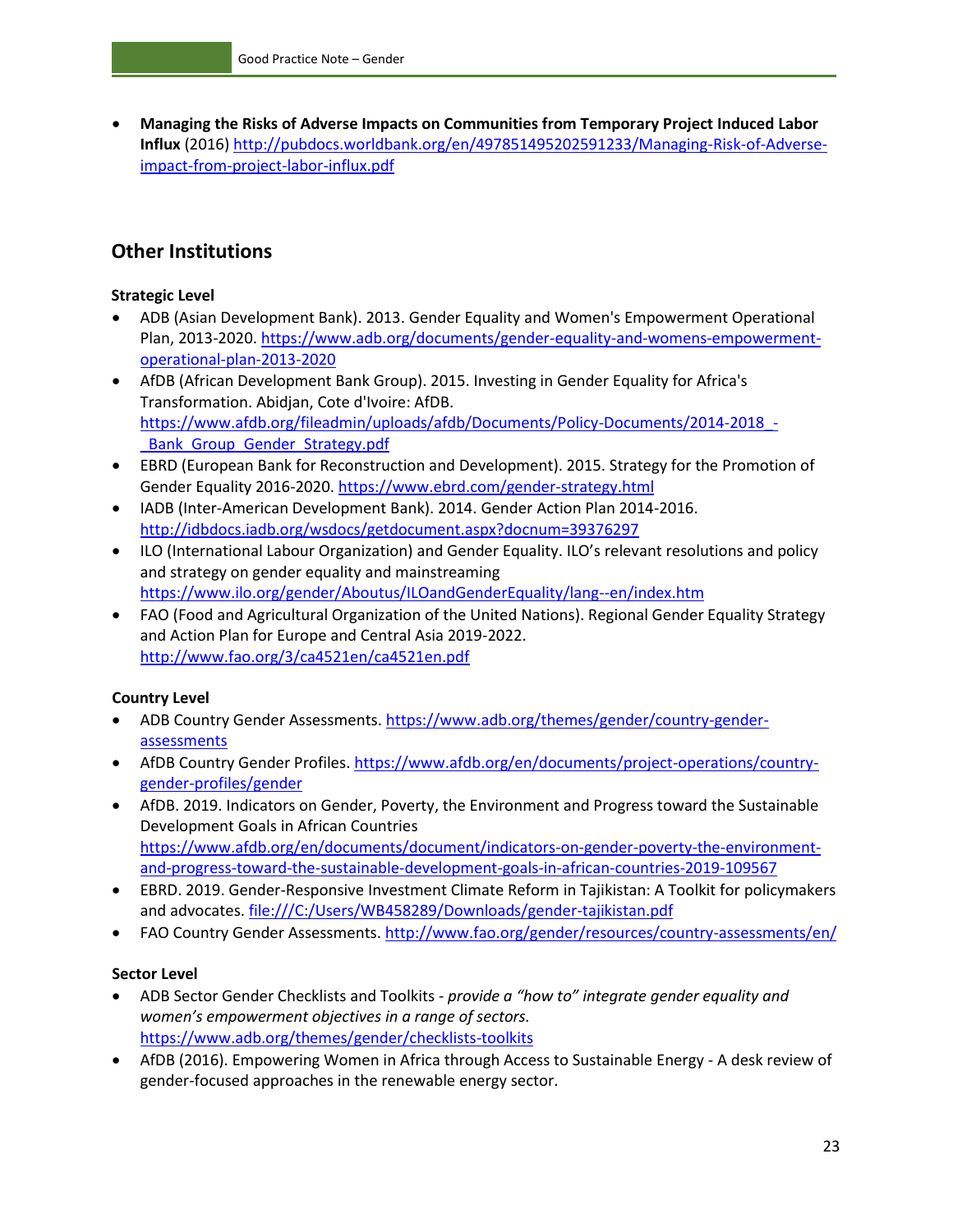• **Managing the Risks of Adverse Impacts on Communities from Temporary Project Induced Labor Influx** (2016) [http://pubdocs.worldbank.org/en/497851495202591233/Managing-Risk-of-Adverse](http://pubdocs.worldbank.org/en/497851495202591233/Managing-Risk-of-Adverse-impact-from-project-labor-influx.pdf)[impact-from-project-labor-influx.pdf](http://pubdocs.worldbank.org/en/497851495202591233/Managing-Risk-of-Adverse-impact-from-project-labor-influx.pdf)

#### **Other Institutions**

#### **Strategic Level**

- ADB (Asian Development Bank). 2013. Gender Equality and Women's Empowerment Operational Plan, 2013-2020. [https://www.adb.org/documents/gender-equality-and-womens-empowerment](https://www.adb.org/documents/gender-equality-and-womens-empowerment-operational-plan-2013-2020)[operational-plan-2013-2020](https://www.adb.org/documents/gender-equality-and-womens-empowerment-operational-plan-2013-2020)
- AfDB (African Development Bank Group). 2015. Investing in Gender Equality for Africa's Transformation. Abidjan, Cote d'Ivoire: AfDB. [https://www.afdb.org/fileadmin/uploads/afdb/Documents/Policy-Documents/2014-2018\\_-](https://www.afdb.org/fileadmin/uploads/afdb/Documents/Policy-Documents/2014-2018_-_Bank_Group_Gender_Strategy.pdf) [\\_Bank\\_Group\\_Gender\\_Strategy.pdf](https://www.afdb.org/fileadmin/uploads/afdb/Documents/Policy-Documents/2014-2018_-_Bank_Group_Gender_Strategy.pdf)
- EBRD (European Bank for Reconstruction and Development). 2015. Strategy for the Promotion of Gender Equality 2016-2020.<https://www.ebrd.com/gender-strategy.html>
- IADB (Inter-American Development Bank). 2014. Gender Action Plan 2014-2016. <http://idbdocs.iadb.org/wsdocs/getdocument.aspx?docnum=39376297>
- ILO (International Labour Organization) and Gender Equality. ILO's relevant resolutions and policy and strategy on gender equality and mainstreaming <https://www.ilo.org/gender/Aboutus/ILOandGenderEquality/lang--en/index.htm>
- FAO (Food and Agricultural Organization of the United Nations). Regional Gender Equality Strategy and Action Plan for Europe and Central Asia 2019-2022. <http://www.fao.org/3/ca4521en/ca4521en.pdf>

#### **Country Level**

- ADB Country Gender Assessments. [https://www.adb.org/themes/gender/country-gender](https://www.adb.org/themes/gender/country-gender-assessments)[assessments](https://www.adb.org/themes/gender/country-gender-assessments)
- AfDB Country Gender Profiles[. https://www.afdb.org/en/documents/project-operations/country](https://www.afdb.org/en/documents/project-operations/country-gender-profiles/gender)[gender-profiles/gender](https://www.afdb.org/en/documents/project-operations/country-gender-profiles/gender)
- AfDB. 2019. Indicators on Gender, Poverty, the Environment and Progress toward the Sustainable Development Goals in African Countries [https://www.afdb.org/en/documents/document/indicators-on-gender-poverty-the-environment](https://www.afdb.org/en/documents/document/indicators-on-gender-poverty-the-environment-and-progress-toward-the-sustainable-development-goals-in-african-countries-2019-109567)[and-progress-toward-the-sustainable-development-goals-in-african-countries-2019-109567](https://www.afdb.org/en/documents/document/indicators-on-gender-poverty-the-environment-and-progress-toward-the-sustainable-development-goals-in-african-countries-2019-109567)
- EBRD. 2019. Gender-Responsive Investment Climate Reform in Tajikistan: A Toolkit for policymakers and advocates.<file:///C:/Users/WB458289/Downloads/gender-tajikistan.pdf>
- FAO Country Gender Assessments[. http://www.fao.org/gender/resources/country-assessments/en/](http://www.fao.org/gender/resources/country-assessments/en/)

#### **Sector Level**

- ADB Sector Gender Checklists and Toolkits *provide a "how to" integrate gender equality and women's empowerment objectives in a range of sectors.*  <https://www.adb.org/themes/gender/checklists-toolkits>
- AfDB (2016). Empowering Women in Africa through Access to Sustainable Energy A desk review of gender-focused approaches in the renewable energy sector.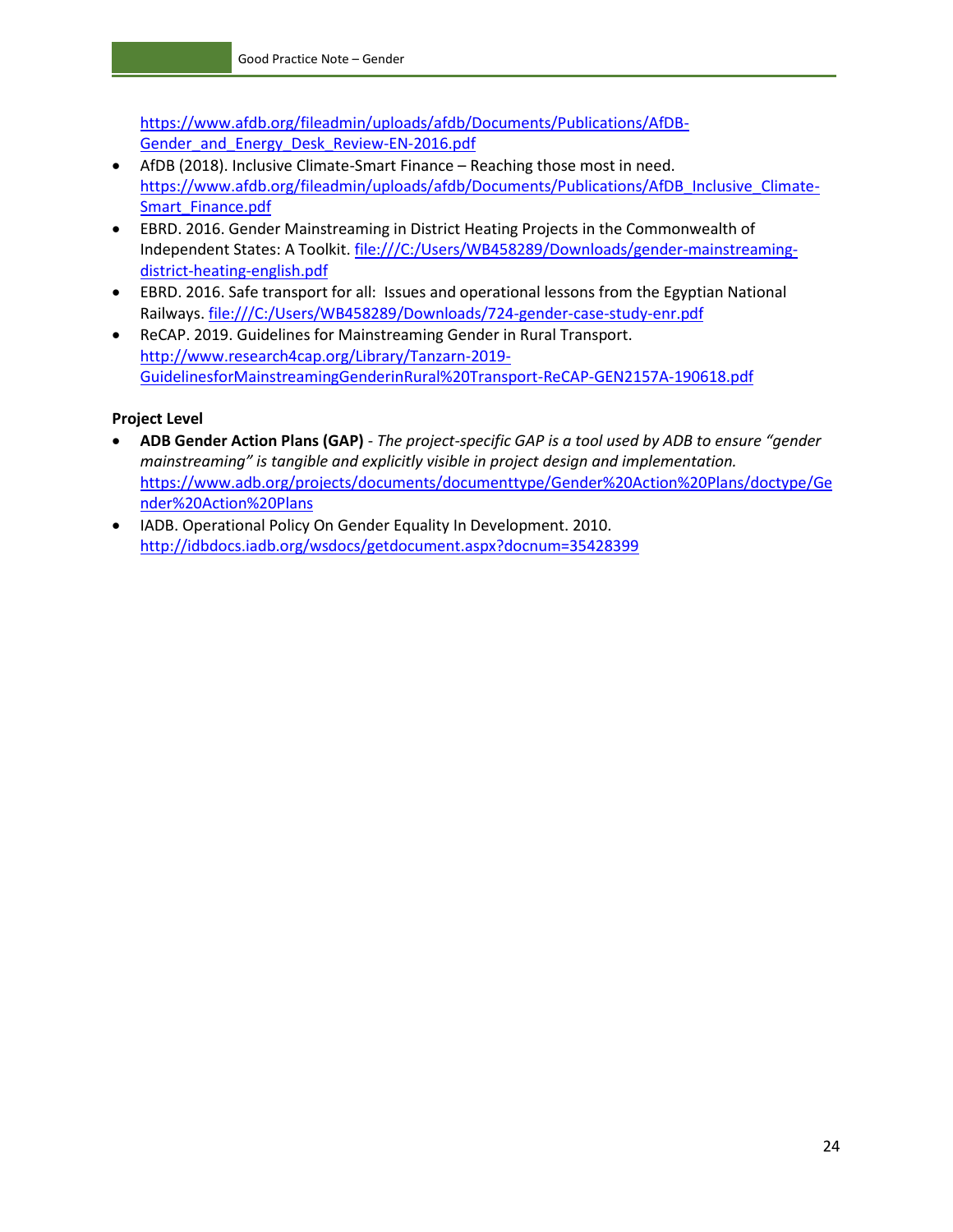[https://www.afdb.org/fileadmin/uploads/afdb/Documents/Publications/AfDB-](https://www.afdb.org/fileadmin/uploads/afdb/Documents/Publications/AfDB-Gender_and_Energy_Desk_Review-EN-2016.pdf)Gender and Energy Desk Review-EN-2016.pdf

- AfDB (2018). Inclusive Climate-Smart Finance Reaching those most in need. [https://www.afdb.org/fileadmin/uploads/afdb/Documents/Publications/AfDB\\_Inclusive\\_Climate-](https://www.afdb.org/fileadmin/uploads/afdb/Documents/Publications/AfDB_Inclusive_Climate-Smart_Finance.pdf)[Smart\\_Finance.pdf](https://www.afdb.org/fileadmin/uploads/afdb/Documents/Publications/AfDB_Inclusive_Climate-Smart_Finance.pdf)
- EBRD. 2016. Gender Mainstreaming in District Heating Projects in the Commonwealth of Independent States: A Toolkit. [file:///C:/Users/WB458289/Downloads/gender-mainstreaming](file:///C:/Users/WB458289/Downloads/gender-mainstreaming-district-heating-english.pdf)[district-heating-english.pdf](file:///C:/Users/WB458289/Downloads/gender-mainstreaming-district-heating-english.pdf)
- EBRD. 2016. Safe transport for all: Issues and operational lessons from the Egyptian National Railways.<file:///C:/Users/WB458289/Downloads/724-gender-case-study-enr.pdf>
- ReCAP. 2019. Guidelines for Mainstreaming Gender in Rural Transport. [http://www.research4cap.org/Library/Tanzarn-2019-](http://www.research4cap.org/Library/Tanzarn-2019-GuidelinesforMainstreamingGenderinRural%20Transport-ReCAP-GEN2157A-190618.pdf) [GuidelinesforMainstreamingGenderinRural%20Transport-ReCAP-GEN2157A-190618.pdf](http://www.research4cap.org/Library/Tanzarn-2019-GuidelinesforMainstreamingGenderinRural%20Transport-ReCAP-GEN2157A-190618.pdf)

#### **Project Level**

- **ADB Gender Action Plans (GAP)**  *The project-specific GAP is a tool used by ADB to ensure "gender mainstreaming" is tangible and explicitly visible in project design and implementation.* [https://www.adb.org/projects/documents/documenttype/Gender%20Action%20Plans/doctype/Ge](https://www.adb.org/projects/documents/documenttype/Gender%20Action%20Plans/doctype/Gender%20Action%20Plans) [nder%20Action%20Plans](https://www.adb.org/projects/documents/documenttype/Gender%20Action%20Plans/doctype/Gender%20Action%20Plans)
- IADB. Operational Policy On Gender Equality In Development. 2010. <http://idbdocs.iadb.org/wsdocs/getdocument.aspx?docnum=35428399>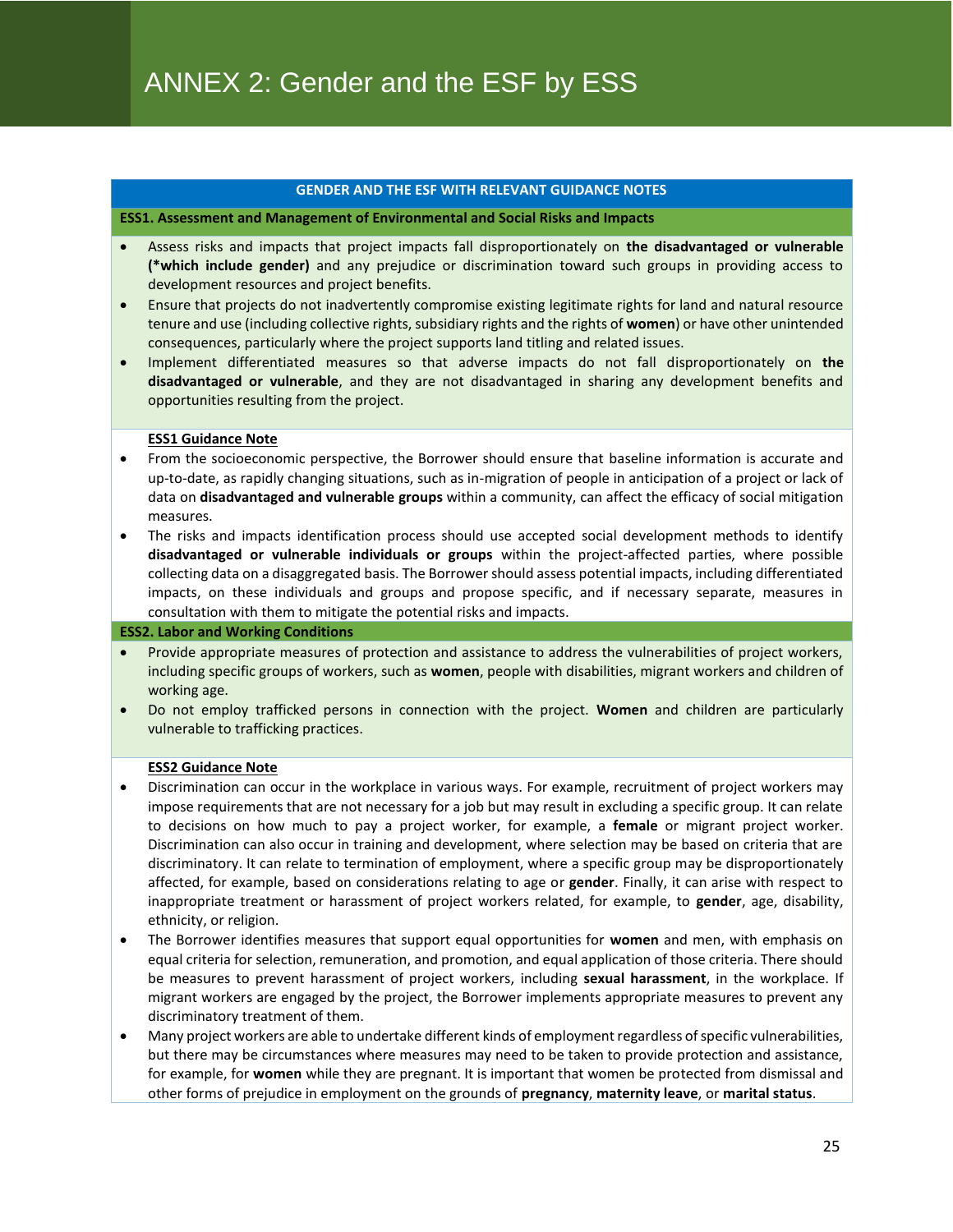#### **GENDER AND THE ESF WITH RELEVANT GUIDANCE NOTES**

#### **ESS1. Assessment and Management of Environmental and Social Risks and Impacts**

- Assess risks and impacts that project impacts fall disproportionately on **the disadvantaged or vulnerable (\*which include gender)** and any prejudice or discrimination toward such groups in providing access to development resources and project benefits.
- Ensure that projects do not inadvertently compromise existing legitimate rights for land and natural resource tenure and use (including collective rights, subsidiary rights and the rights of **women**) or have other unintended consequences, particularly where the project supports land titling and related issues.
- Implement differentiated measures so that adverse impacts do not fall disproportionately on **the disadvantaged or vulnerable**, and they are not disadvantaged in sharing any development benefits and opportunities resulting from the project.

#### **ESS1 Guidance Note**

- From the socioeconomic perspective, the Borrower should ensure that baseline information is accurate and up-to-date, as rapidly changing situations, such as in-migration of people in anticipation of a project or lack of data on **disadvantaged and vulnerable groups** within a community, can affect the efficacy of social mitigation measures.
- The risks and impacts identification process should use accepted social development methods to identify **disadvantaged or vulnerable individuals or groups** within the project-affected parties, where possible collecting data on a disaggregated basis. The Borrower should assess potential impacts, including differentiated impacts, on these individuals and groups and propose specific, and if necessary separate, measures in consultation with them to mitigate the potential risks and impacts.

#### **ESS2. Labor and Working Conditions**

- Provide appropriate measures of protection and assistance to address the vulnerabilities of project workers, including specific groups of workers, such as **women**, people with disabilities, migrant workers and children of working age.
- Do not employ trafficked persons in connection with the project. **Women** and children are particularly vulnerable to trafficking practices.

#### **ESS2 Guidance Note**

- Discrimination can occur in the workplace in various ways. For example, recruitment of project workers may impose requirements that are not necessary for a job but may result in excluding a specific group. It can relate to decisions on how much to pay a project worker, for example, a **female** or migrant project worker. Discrimination can also occur in training and development, where selection may be based on criteria that are discriminatory. It can relate to termination of employment, where a specific group may be disproportionately affected, for example, based on considerations relating to age or **gender**. Finally, it can arise with respect to inappropriate treatment or harassment of project workers related, for example, to **gender**, age, disability, ethnicity, or religion.
- The Borrower identifies measures that support equal opportunities for **women** and men, with emphasis on equal criteria for selection, remuneration, and promotion, and equal application of those criteria. There should be measures to prevent harassment of project workers, including **sexual harassment**, in the workplace. If migrant workers are engaged by the project, the Borrower implements appropriate measures to prevent any discriminatory treatment of them.
- Many project workers are able to undertake different kinds of employment regardless of specific vulnerabilities, but there may be circumstances where measures may need to be taken to provide protection and assistance, for example, for **women** while they are pregnant. It is important that women be protected from dismissal and other forms of prejudice in employment on the grounds of **pregnancy**, **maternity leave**, or **marital status**.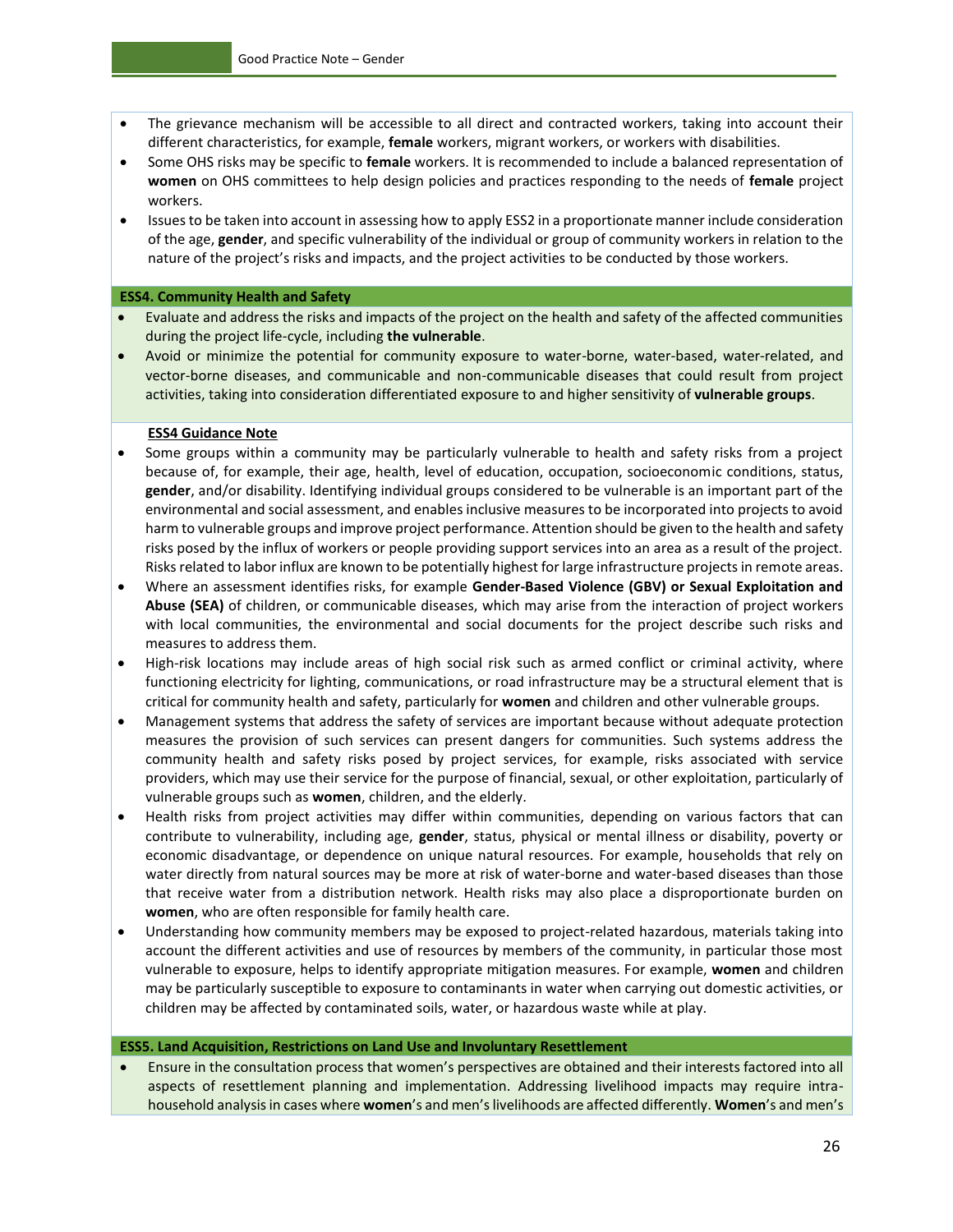- The grievance mechanism will be accessible to all direct and contracted workers, taking into account their different characteristics, for example, **female** workers, migrant workers, or workers with disabilities.
- Some OHS risks may be specific to **female** workers. It is recommended to include a balanced representation of **women** on OHS committees to help design policies and practices responding to the needs of **female** project workers.
- Issues to be taken into account in assessing how to apply ESS2 in a proportionate manner include consideration of the age, **gender**, and specific vulnerability of the individual or group of community workers in relation to the nature of the project's risks and impacts, and the project activities to be conducted by those workers.

#### **ESS4. Community Health and Safety**

- Evaluate and address the risks and impacts of the project on the health and safety of the affected communities during the project life-cycle, including **the vulnerable**.
- Avoid or minimize the potential for community exposure to water-borne, water-based, water-related, and vector-borne diseases, and communicable and non-communicable diseases that could result from project activities, taking into consideration differentiated exposure to and higher sensitivity of **vulnerable groups**.

#### **ESS4 Guidance Note**

- Some groups within a community may be particularly vulnerable to health and safety risks from a project because of, for example, their age, health, level of education, occupation, socioeconomic conditions, status, **gender**, and/or disability. Identifying individual groups considered to be vulnerable is an important part of the environmental and social assessment, and enables inclusive measures to be incorporated into projects to avoid harm to vulnerable groups and improve project performance. Attention should be given to the health and safety risks posed by the influx of workers or people providing support services into an area as a result of the project. Risks related to labor influx are known to be potentially highest for large infrastructure projects in remote areas.
- Where an assessment identifies risks, for example **Gender-Based Violence (GBV) or Sexual Exploitation and Abuse (SEA)** of children, or communicable diseases, which may arise from the interaction of project workers with local communities, the environmental and social documents for the project describe such risks and measures to address them.
- High-risk locations may include areas of high social risk such as armed conflict or criminal activity, where functioning electricity for lighting, communications, or road infrastructure may be a structural element that is critical for community health and safety, particularly for **women** and children and other vulnerable groups.
- Management systems that address the safety of services are important because without adequate protection measures the provision of such services can present dangers for communities. Such systems address the community health and safety risks posed by project services, for example, risks associated with service providers, which may use their service for the purpose of financial, sexual, or other exploitation, particularly of vulnerable groups such as **women**, children, and the elderly.
- Health risks from project activities may differ within communities, depending on various factors that can contribute to vulnerability, including age, **gender**, status, physical or mental illness or disability, poverty or economic disadvantage, or dependence on unique natural resources. For example, households that rely on water directly from natural sources may be more at risk of water-borne and water-based diseases than those that receive water from a distribution network. Health risks may also place a disproportionate burden on **women**, who are often responsible for family health care.
- Understanding how community members may be exposed to project-related hazardous, materials taking into account the different activities and use of resources by members of the community, in particular those most vulnerable to exposure, helps to identify appropriate mitigation measures. For example, **women** and children may be particularly susceptible to exposure to contaminants in water when carrying out domestic activities, or children may be affected by contaminated soils, water, or hazardous waste while at play.

#### **ESS5. Land Acquisition, Restrictions on Land Use and Involuntary Resettlement**

• Ensure in the consultation process that women's perspectives are obtained and their interests factored into all aspects of resettlement planning and implementation. Addressing livelihood impacts may require intrahousehold analysis in cases where **women**'s and men's livelihoods are affected differently. **Women**'s and men's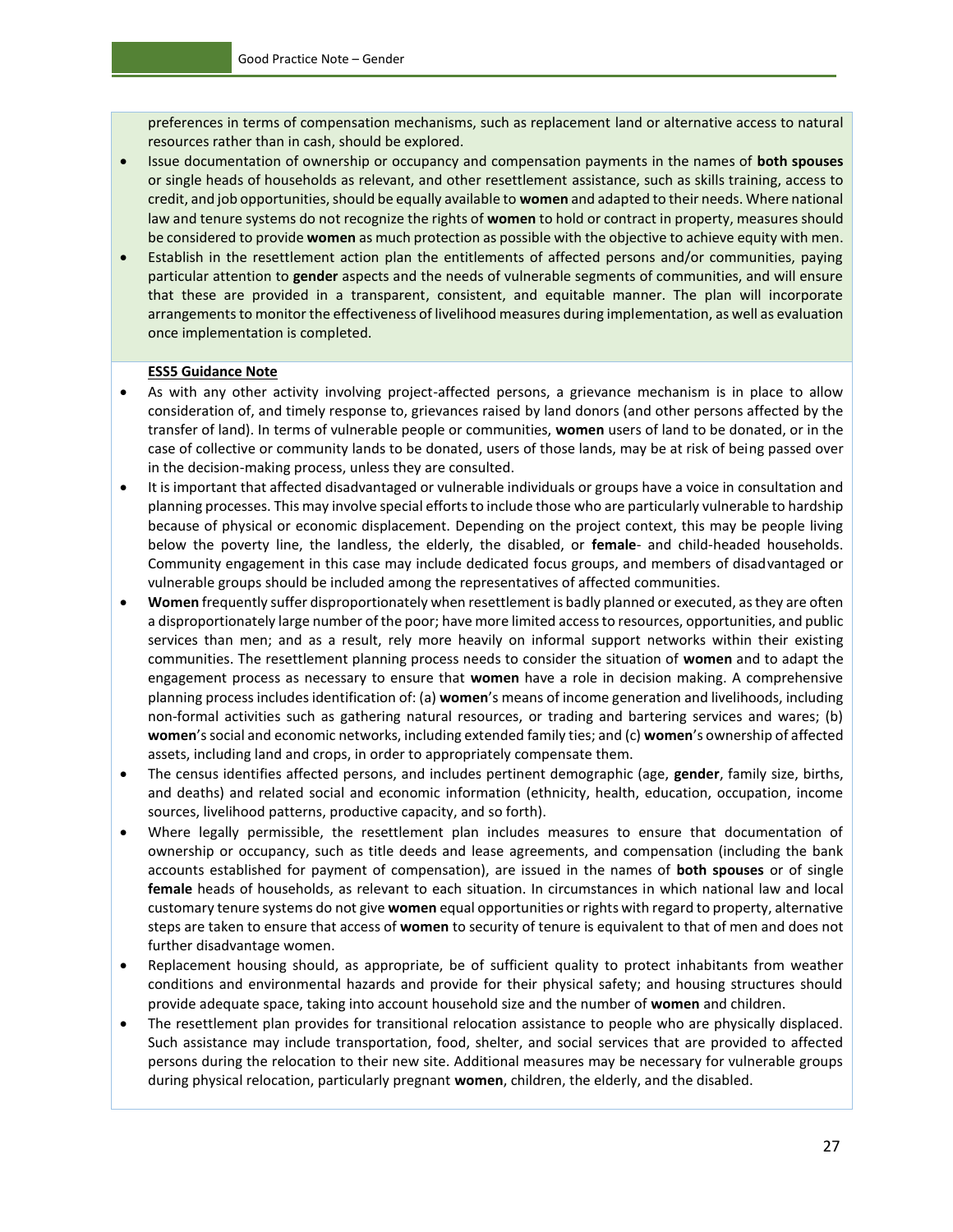preferences in terms of compensation mechanisms, such as replacement land or alternative access to natural resources rather than in cash, should be explored.

- Issue documentation of ownership or occupancy and compensation payments in the names of **both spouses**  or single heads of households as relevant, and other resettlement assistance, such as skills training, access to credit, and job opportunities, should be equally available to **women** and adapted to their needs. Where national law and tenure systems do not recognize the rights of **women** to hold or contract in property, measures should be considered to provide **women** as much protection as possible with the objective to achieve equity with men.
- Establish in the resettlement action plan the entitlements of affected persons and/or communities, paying particular attention to **gender** aspects and the needs of vulnerable segments of communities, and will ensure that these are provided in a transparent, consistent, and equitable manner. The plan will incorporate arrangements to monitor the effectiveness of livelihood measures during implementation, as well as evaluation once implementation is completed.

#### **ESS5 Guidance Note**

- As with any other activity involving project-affected persons, a grievance mechanism is in place to allow consideration of, and timely response to, grievances raised by land donors (and other persons affected by the transfer of land). In terms of vulnerable people or communities, **women** users of land to be donated, or in the case of collective or community lands to be donated, users of those lands, may be at risk of being passed over in the decision-making process, unless they are consulted.
- It is important that affected disadvantaged or vulnerable individuals or groups have a voice in consultation and planning processes. This may involve special efforts to include those who are particularly vulnerable to hardship because of physical or economic displacement. Depending on the project context, this may be people living below the poverty line, the landless, the elderly, the disabled, or **female**- and child-headed households. Community engagement in this case may include dedicated focus groups, and members of disadvantaged or vulnerable groups should be included among the representatives of affected communities.
- **Women** frequently suffer disproportionately when resettlement is badly planned or executed, as they are often a disproportionately large number of the poor; have more limited access to resources, opportunities, and public services than men; and as a result, rely more heavily on informal support networks within their existing communities. The resettlement planning process needs to consider the situation of **women** and to adapt the engagement process as necessary to ensure that **women** have a role in decision making. A comprehensive planning process includes identification of: (a) **women**'s means of income generation and livelihoods, including non-formal activities such as gathering natural resources, or trading and bartering services and wares; (b) **women**'s social and economic networks, including extended family ties; and (c) **women**'s ownership of affected assets, including land and crops, in order to appropriately compensate them.
- The census identifies affected persons, and includes pertinent demographic (age, **gender**, family size, births, and deaths) and related social and economic information (ethnicity, health, education, occupation, income sources, livelihood patterns, productive capacity, and so forth).
- Where legally permissible, the resettlement plan includes measures to ensure that documentation of ownership or occupancy, such as title deeds and lease agreements, and compensation (including the bank accounts established for payment of compensation), are issued in the names of **both spouses** or of single **female** heads of households, as relevant to each situation. In circumstances in which national law and local customary tenure systems do not give **women** equal opportunities or rights with regard to property, alternative steps are taken to ensure that access of **women** to security of tenure is equivalent to that of men and does not further disadvantage women.
- Replacement housing should, as appropriate, be of sufficient quality to protect inhabitants from weather conditions and environmental hazards and provide for their physical safety; and housing structures should provide adequate space, taking into account household size and the number of **women** and children.
- The resettlement plan provides for transitional relocation assistance to people who are physically displaced. Such assistance may include transportation, food, shelter, and social services that are provided to affected persons during the relocation to their new site. Additional measures may be necessary for vulnerable groups during physical relocation, particularly pregnant **women**, children, the elderly, and the disabled.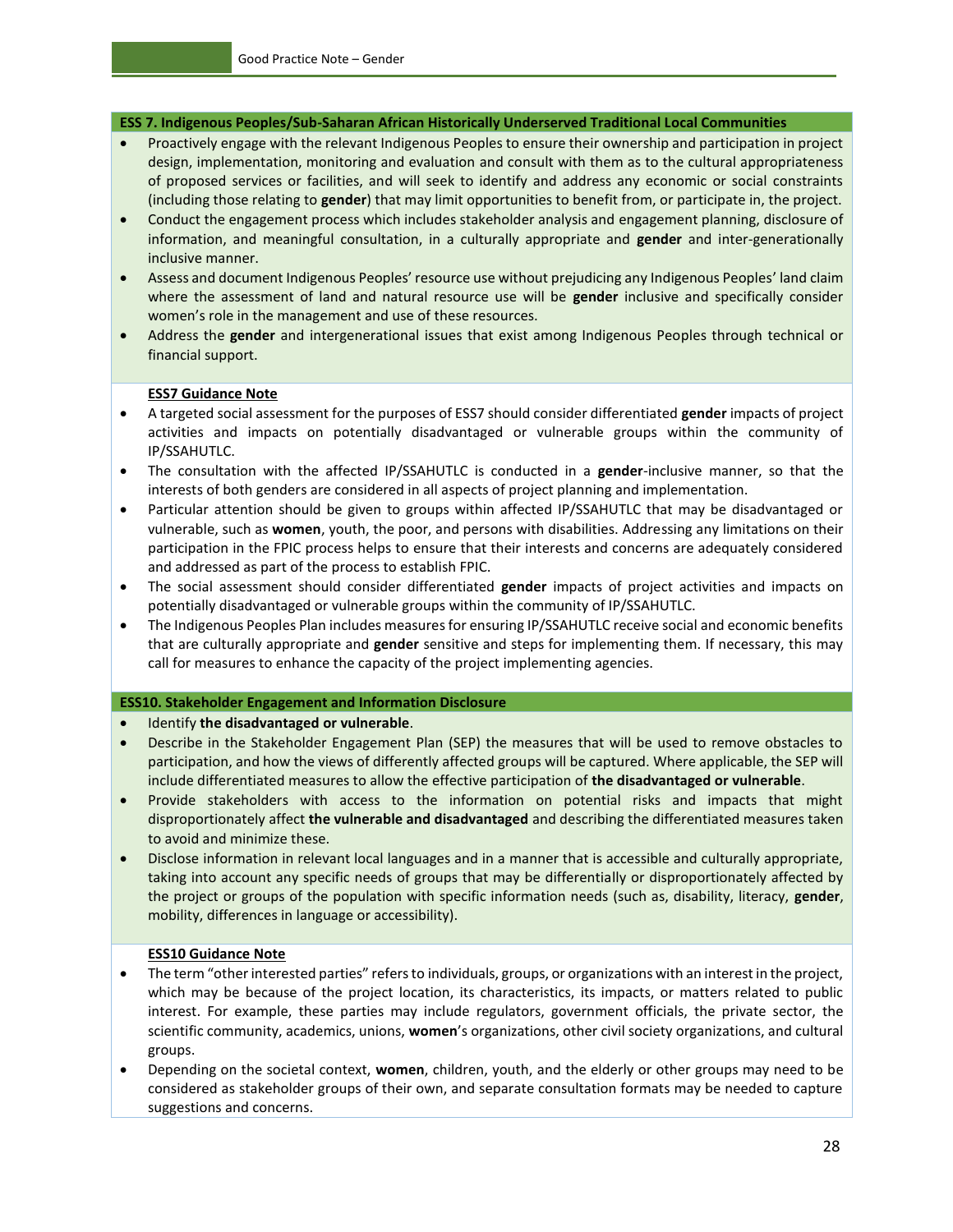#### **ESS 7. Indigenous Peoples/Sub-Saharan African Historically Underserved Traditional Local Communities**

- Proactively engage with the relevant Indigenous Peoples to ensure their ownership and participation in project design, implementation, monitoring and evaluation and consult with them as to the cultural appropriateness of proposed services or facilities, and will seek to identify and address any economic or social constraints (including those relating to **gender**) that may limit opportunities to benefit from, or participate in, the project.
- Conduct the engagement process which includes stakeholder analysis and engagement planning, disclosure of information, and meaningful consultation, in a culturally appropriate and **gender** and inter-generationally inclusive manner.
- Assess and document Indigenous Peoples' resource use without prejudicing any Indigenous Peoples' land claim where the assessment of land and natural resource use will be **gender** inclusive and specifically consider women's role in the management and use of these resources.
- Address the **gender** and intergenerational issues that exist among Indigenous Peoples through technical or financial support.

#### **ESS7 Guidance Note**

- A targeted social assessment for the purposes of ESS7 should consider differentiated **gender** impacts of project activities and impacts on potentially disadvantaged or vulnerable groups within the community of IP/SSAHUTLC.
- The consultation with the affected IP/SSAHUTLC is conducted in a **gender**-inclusive manner, so that the interests of both genders are considered in all aspects of project planning and implementation.
- Particular attention should be given to groups within affected IP/SSAHUTLC that may be disadvantaged or vulnerable, such as **women**, youth, the poor, and persons with disabilities. Addressing any limitations on their participation in the FPIC process helps to ensure that their interests and concerns are adequately considered and addressed as part of the process to establish FPIC.
- The social assessment should consider differentiated **gender** impacts of project activities and impacts on potentially disadvantaged or vulnerable groups within the community of IP/SSAHUTLC.
- The Indigenous Peoples Plan includes measures for ensuring IP/SSAHUTLC receive social and economic benefits that are culturally appropriate and **gender** sensitive and steps for implementing them. If necessary, this may call for measures to enhance the capacity of the project implementing agencies.

#### **ESS10. Stakeholder Engagement and Information Disclosure**

- Identify **the disadvantaged or vulnerable**.
- Describe in the Stakeholder Engagement Plan (SEP) the measures that will be used to remove obstacles to participation, and how the views of differently affected groups will be captured. Where applicable, the SEP will include differentiated measures to allow the effective participation of **the disadvantaged or vulnerable**.
- Provide stakeholders with access to the information on potential risks and impacts that might disproportionately affect **the vulnerable and disadvantaged** and describing the differentiated measures taken to avoid and minimize these.
- Disclose information in relevant local languages and in a manner that is accessible and culturally appropriate, taking into account any specific needs of groups that may be differentially or disproportionately affected by the project or groups of the population with specific information needs (such as, disability, literacy, **gender**, mobility, differences in language or accessibility).

#### **ESS10 Guidance Note**

- The term "other interested parties" refers to individuals, groups, or organizations with an interest in the project, which may be because of the project location, its characteristics, its impacts, or matters related to public interest. For example, these parties may include regulators, government officials, the private sector, the scientific community, academics, unions, **women**'s organizations, other civil society organizations, and cultural groups.
- Depending on the societal context, **women**, children, youth, and the elderly or other groups may need to be considered as stakeholder groups of their own, and separate consultation formats may be needed to capture suggestions and concerns.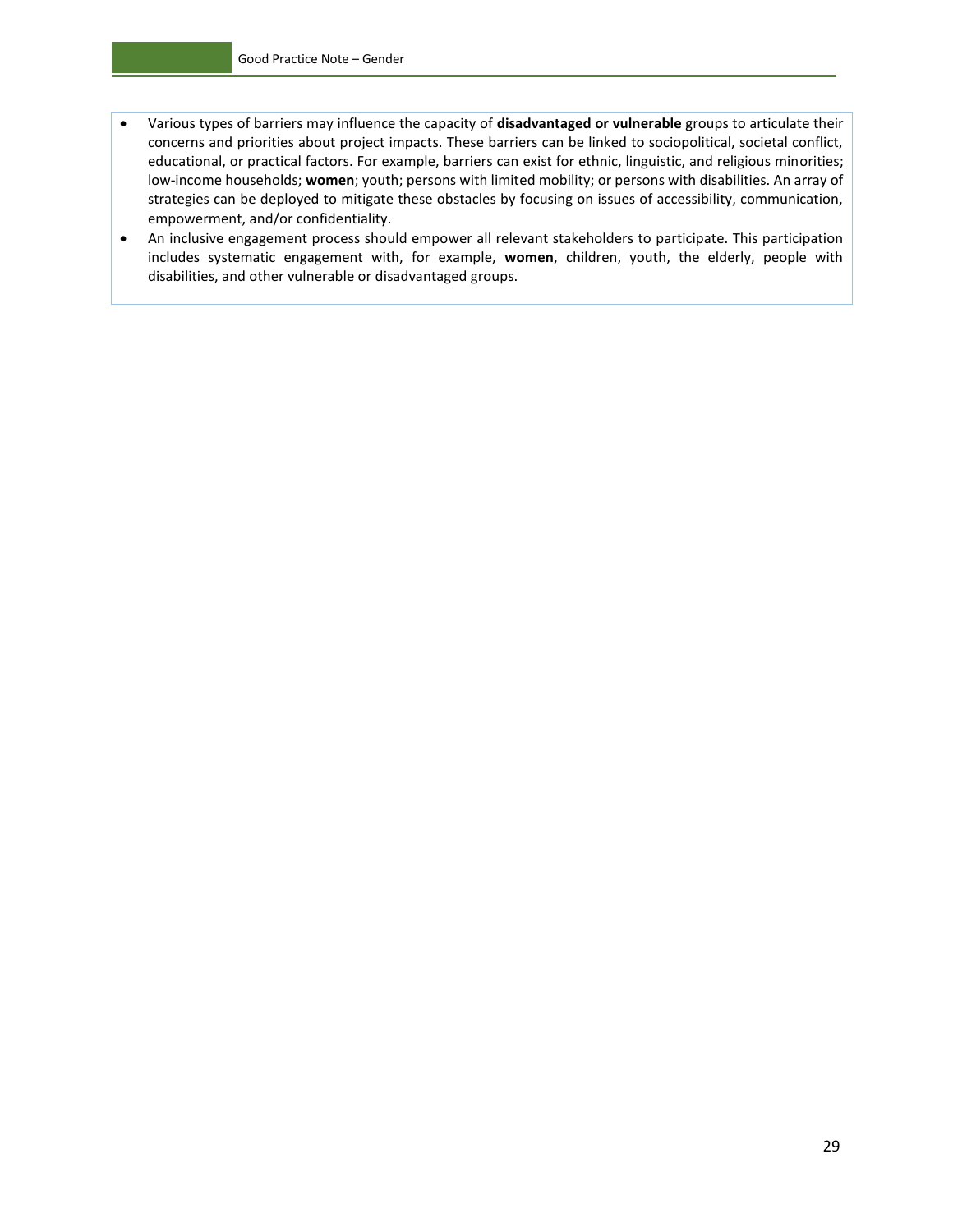- Various types of barriers may influence the capacity of **disadvantaged or vulnerable** groups to articulate their concerns and priorities about project impacts. These barriers can be linked to sociopolitical, societal conflict, educational, or practical factors. For example, barriers can exist for ethnic, linguistic, and religious minorities; low-income households; **women**; youth; persons with limited mobility; or persons with disabilities. An array of strategies can be deployed to mitigate these obstacles by focusing on issues of accessibility, communication, empowerment, and/or confidentiality.
- An inclusive engagement process should empower all relevant stakeholders to participate. This participation includes systematic engagement with, for example, **women**, children, youth, the elderly, people with disabilities, and other vulnerable or disadvantaged groups.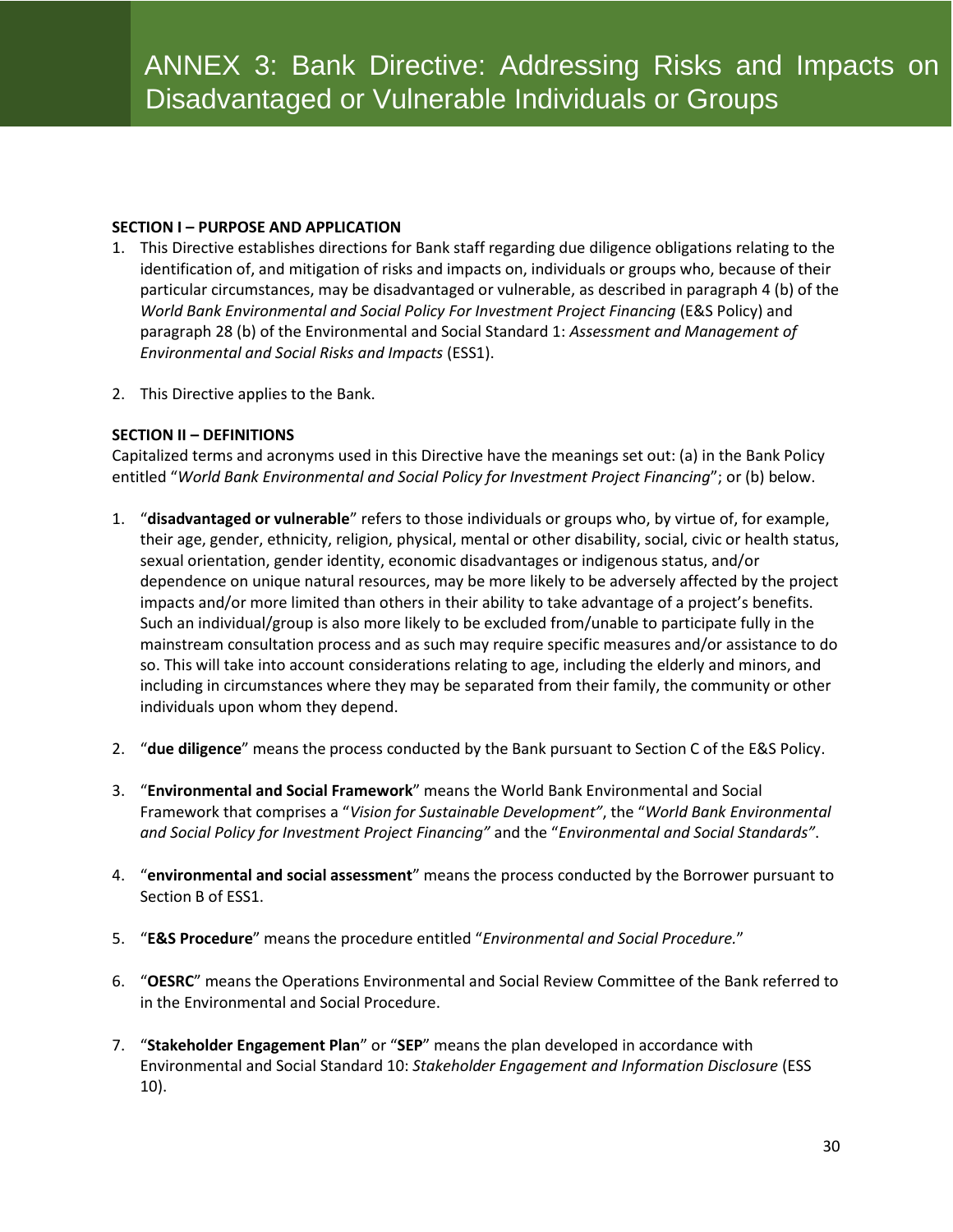#### **SECTION I – PURPOSE AND APPLICATION**

- 1. This Directive establishes directions for Bank staff regarding due diligence obligations relating to the identification of, and mitigation of risks and impacts on, individuals or groups who, because of their particular circumstances, may be disadvantaged or vulnerable, as described in paragraph 4 (b) of the *World Bank Environmental and Social Policy For Investment Project Financing (E&S Policy) and* paragraph 28 (b) of the Environmental and Social Standard 1: *Assessment and Management of Environmental and Social Risks and Impacts* (ESS1).
- 2. This Directive applies to the Bank.

#### **SECTION II – DEFINITIONS**

Capitalized terms and acronyms used in this Directive have the meanings set out: (a) in the Bank Policy entitled "*World Bank Environmental and Social Policy for Investment Project Financing*"; or (b) below.

- 1. "**disadvantaged or vulnerable**" refers to those individuals or groups who, by virtue of, for example, their age, gender, ethnicity, religion, physical, mental or other disability, social, civic or health status, sexual orientation, gender identity, economic disadvantages or indigenous status, and/or dependence on unique natural resources, may be more likely to be adversely affected by the project impacts and/or more limited than others in their ability to take advantage of a project's benefits. Such an individual/group is also more likely to be excluded from/unable to participate fully in the mainstream consultation process and as such may require specific measures and/or assistance to do so. This will take into account considerations relating to age, including the elderly and minors, and including in circumstances where they may be separated from their family, the community or other individuals upon whom they depend.
- 2. "**due diligence**" means the process conducted by the Bank pursuant to Section C of the E&S Policy.
- 3. "**Environmental and Social Framework**" means the World Bank Environmental and Social Framework that comprises a "*Vision for Sustainable Development"*, the "*World Bank Environmental and Social Policy for Investment Project Financing"* and the "*Environmental and Social Standards"*.
- 4. "**environmental and social assessment**" means the process conducted by the Borrower pursuant to Section B of ESS1.
- 5. "**E&S Procedure**" means the procedure entitled "*Environmental and Social Procedure.*"
- 6. "**OESRC**" means the Operations Environmental and Social Review Committee of the Bank referred to in the Environmental and Social Procedure.
- 7. "**Stakeholder Engagement Plan**" or "**SEP**" means the plan developed in accordance with Environmental and Social Standard 10: *Stakeholder Engagement and Information Disclosure* (ESS 10).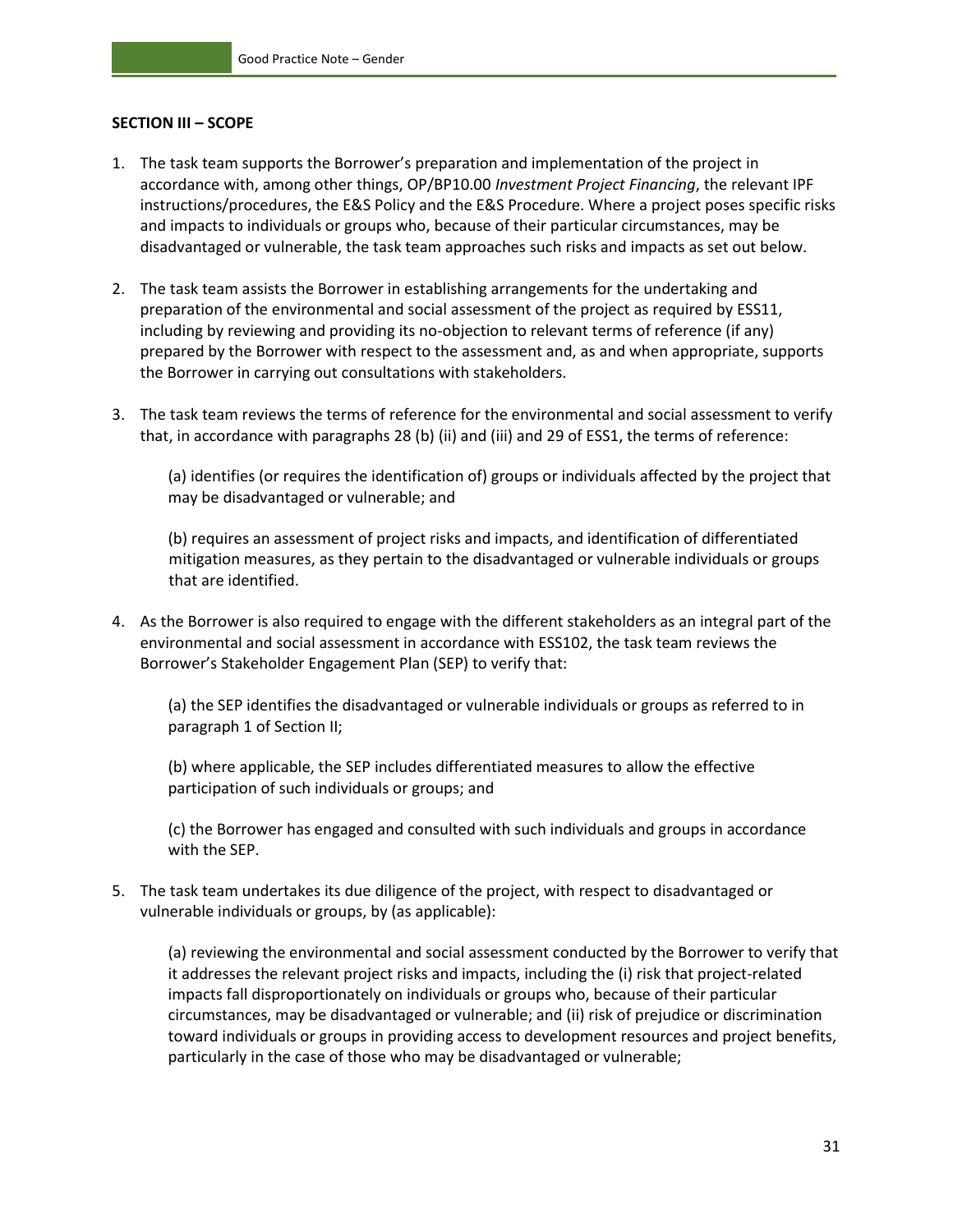#### **SECTION III – SCOPE**

- 1. The task team supports the Borrower's preparation and implementation of the project in accordance with, among other things, OP/BP10.00 *Investment Project Financing*, the relevant IPF instructions/procedures, the E&S Policy and the E&S Procedure. Where a project poses specific risks and impacts to individuals or groups who, because of their particular circumstances, may be disadvantaged or vulnerable, the task team approaches such risks and impacts as set out below.
- 2. The task team assists the Borrower in establishing arrangements for the undertaking and preparation of the environmental and social assessment of the project as required by ESS11, including by reviewing and providing its no-objection to relevant terms of reference (if any) prepared by the Borrower with respect to the assessment and, as and when appropriate, supports the Borrower in carrying out consultations with stakeholders.
- 3. The task team reviews the terms of reference for the environmental and social assessment to verify that, in accordance with paragraphs 28 (b) (ii) and (iii) and 29 of ESS1, the terms of reference:

(a) identifies (or requires the identification of) groups or individuals affected by the project that may be disadvantaged or vulnerable; and

(b) requires an assessment of project risks and impacts, and identification of differentiated mitigation measures, as they pertain to the disadvantaged or vulnerable individuals or groups that are identified.

4. As the Borrower is also required to engage with the different stakeholders as an integral part of the environmental and social assessment in accordance with ESS102, the task team reviews the Borrower's Stakeholder Engagement Plan (SEP) to verify that:

(a) the SEP identifies the disadvantaged or vulnerable individuals or groups as referred to in paragraph 1 of Section II;

(b) where applicable, the SEP includes differentiated measures to allow the effective participation of such individuals or groups; and

(c) the Borrower has engaged and consulted with such individuals and groups in accordance with the SEP.

5. The task team undertakes its due diligence of the project, with respect to disadvantaged or vulnerable individuals or groups, by (as applicable):

(a) reviewing the environmental and social assessment conducted by the Borrower to verify that it addresses the relevant project risks and impacts, including the (i) risk that project-related impacts fall disproportionately on individuals or groups who, because of their particular circumstances, may be disadvantaged or vulnerable; and (ii) risk of prejudice or discrimination toward individuals or groups in providing access to development resources and project benefits, particularly in the case of those who may be disadvantaged or vulnerable;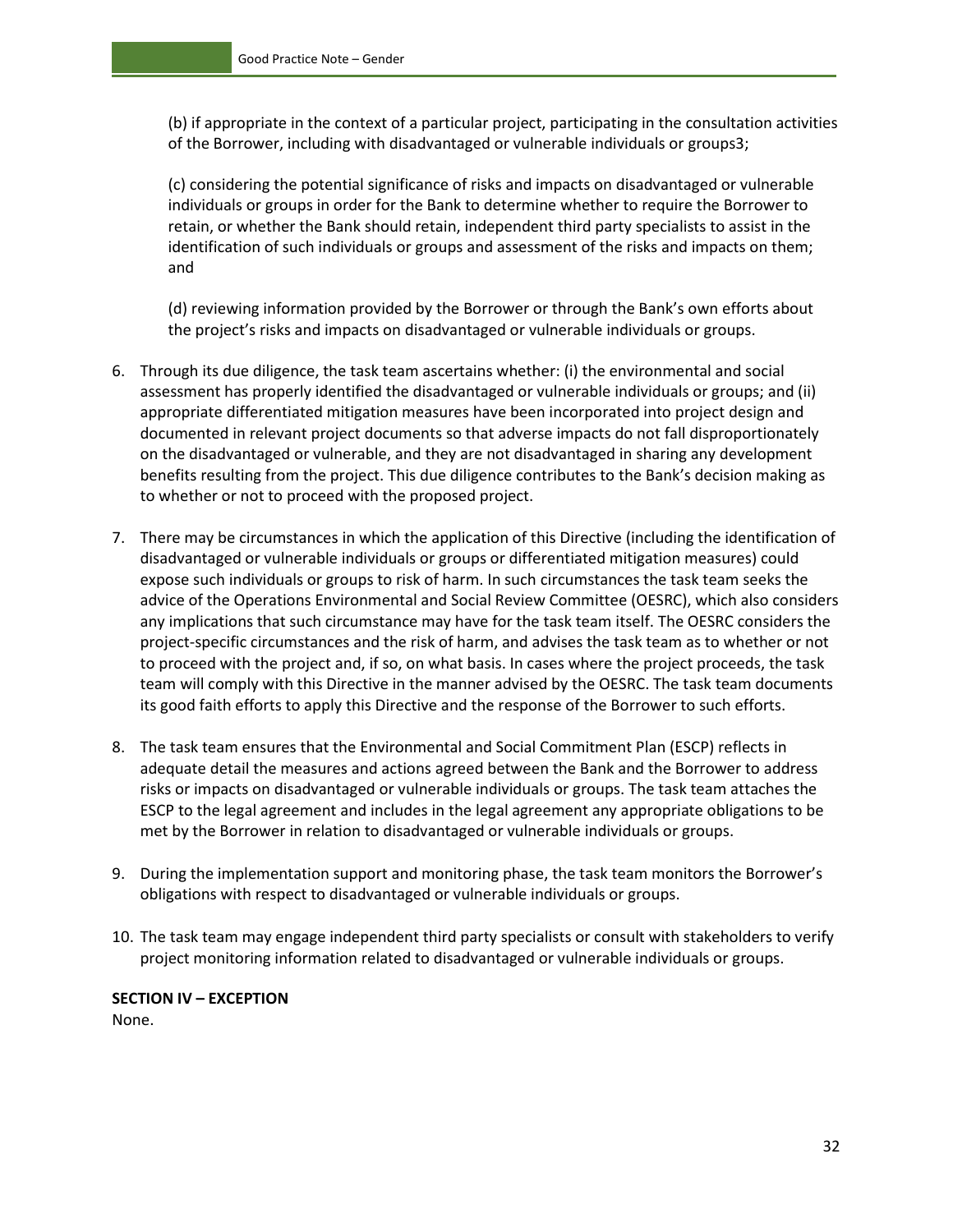(b) if appropriate in the context of a particular project, participating in the consultation activities of the Borrower, including with disadvantaged or vulnerable individuals or groups3;

(c) considering the potential significance of risks and impacts on disadvantaged or vulnerable individuals or groups in order for the Bank to determine whether to require the Borrower to retain, or whether the Bank should retain, independent third party specialists to assist in the identification of such individuals or groups and assessment of the risks and impacts on them; and

(d) reviewing information provided by the Borrower or through the Bank's own efforts about the project's risks and impacts on disadvantaged or vulnerable individuals or groups.

- 6. Through its due diligence, the task team ascertains whether: (i) the environmental and social assessment has properly identified the disadvantaged or vulnerable individuals or groups; and (ii) appropriate differentiated mitigation measures have been incorporated into project design and documented in relevant project documents so that adverse impacts do not fall disproportionately on the disadvantaged or vulnerable, and they are not disadvantaged in sharing any development benefits resulting from the project. This due diligence contributes to the Bank's decision making as to whether or not to proceed with the proposed project.
- 7. There may be circumstances in which the application of this Directive (including the identification of disadvantaged or vulnerable individuals or groups or differentiated mitigation measures) could expose such individuals or groups to risk of harm. In such circumstances the task team seeks the advice of the Operations Environmental and Social Review Committee (OESRC), which also considers any implications that such circumstance may have for the task team itself. The OESRC considers the project-specific circumstances and the risk of harm, and advises the task team as to whether or not to proceed with the project and, if so, on what basis. In cases where the project proceeds, the task team will comply with this Directive in the manner advised by the OESRC. The task team documents its good faith efforts to apply this Directive and the response of the Borrower to such efforts.
- 8. The task team ensures that the Environmental and Social Commitment Plan (ESCP) reflects in adequate detail the measures and actions agreed between the Bank and the Borrower to address risks or impacts on disadvantaged or vulnerable individuals or groups. The task team attaches the ESCP to the legal agreement and includes in the legal agreement any appropriate obligations to be met by the Borrower in relation to disadvantaged or vulnerable individuals or groups.
- 9. During the implementation support and monitoring phase, the task team monitors the Borrower's obligations with respect to disadvantaged or vulnerable individuals or groups.
- 10. The task team may engage independent third party specialists or consult with stakeholders to verify project monitoring information related to disadvantaged or vulnerable individuals or groups.

#### **SECTION IV – EXCEPTION**  None.